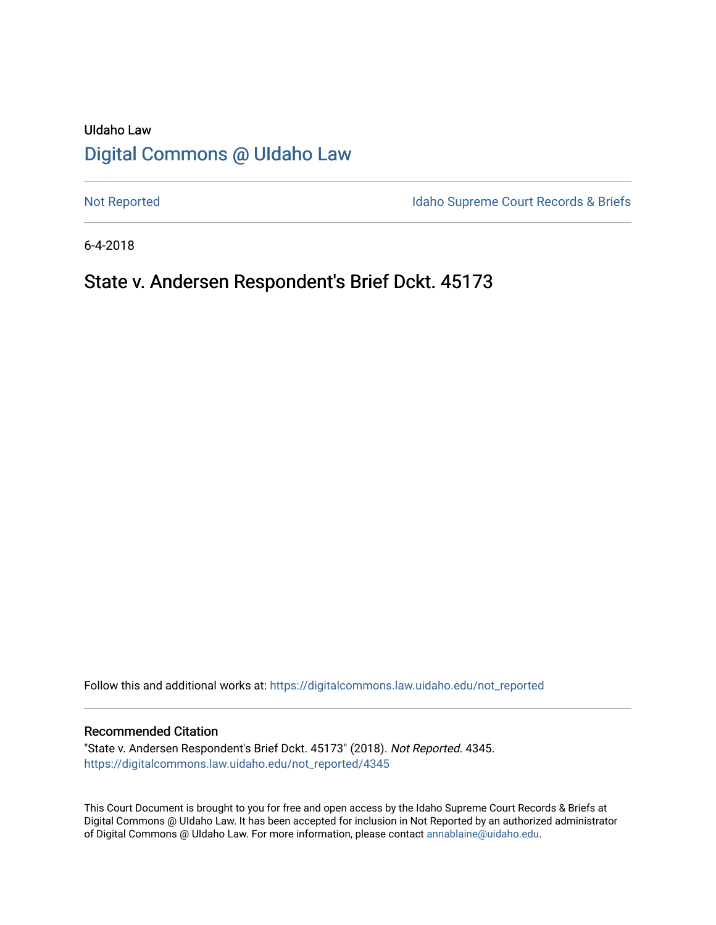# UIdaho Law [Digital Commons @ UIdaho Law](https://digitalcommons.law.uidaho.edu/)

[Not Reported](https://digitalcommons.law.uidaho.edu/not_reported) **Idaho Supreme Court Records & Briefs** 

6-4-2018

# State v. Andersen Respondent's Brief Dckt. 45173

Follow this and additional works at: [https://digitalcommons.law.uidaho.edu/not\\_reported](https://digitalcommons.law.uidaho.edu/not_reported?utm_source=digitalcommons.law.uidaho.edu%2Fnot_reported%2F4345&utm_medium=PDF&utm_campaign=PDFCoverPages) 

#### Recommended Citation

"State v. Andersen Respondent's Brief Dckt. 45173" (2018). Not Reported. 4345. [https://digitalcommons.law.uidaho.edu/not\\_reported/4345](https://digitalcommons.law.uidaho.edu/not_reported/4345?utm_source=digitalcommons.law.uidaho.edu%2Fnot_reported%2F4345&utm_medium=PDF&utm_campaign=PDFCoverPages)

This Court Document is brought to you for free and open access by the Idaho Supreme Court Records & Briefs at Digital Commons @ UIdaho Law. It has been accepted for inclusion in Not Reported by an authorized administrator of Digital Commons @ UIdaho Law. For more information, please contact [annablaine@uidaho.edu](mailto:annablaine@uidaho.edu).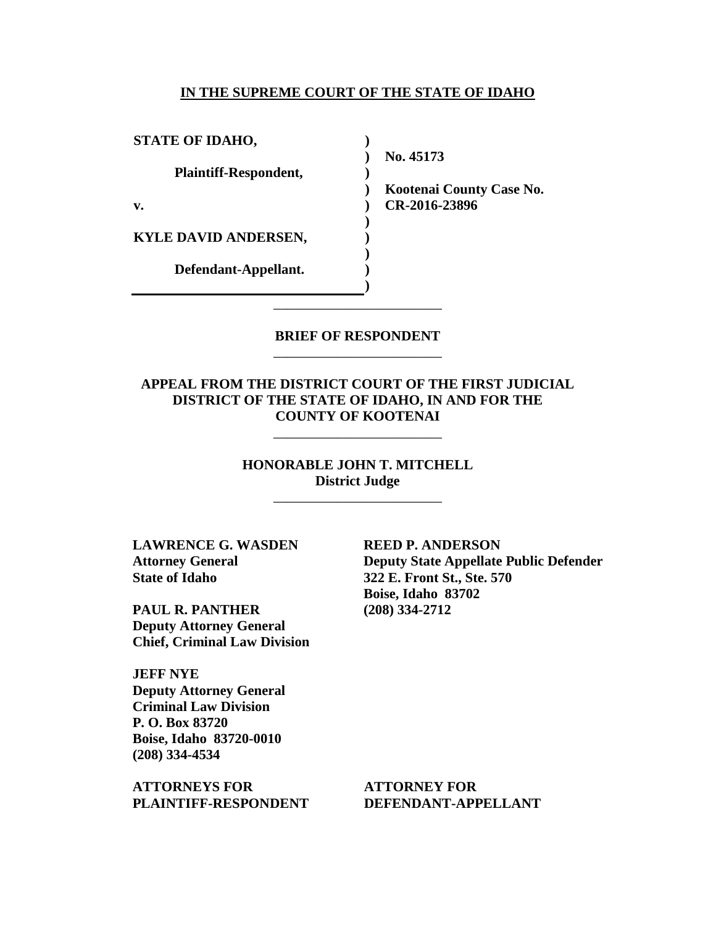#### **IN THE SUPREME COURT OF THE STATE OF IDAHO**

**) ) ) ) ) ) ) ) ) )**

**STATE OF IDAHO,**

**Plaintiff-Respondent,**

**v.** 

**KYLE DAVID ANDERSEN,** 

**Defendant-Appellant.**

**No. 45173** 

**Kootenai County Case No. CR-2016-23896** 

### **BRIEF OF RESPONDENT** \_\_\_\_\_\_\_\_\_\_\_\_\_\_\_\_\_\_\_\_\_\_\_\_

\_\_\_\_\_\_\_\_\_\_\_\_\_\_\_\_\_\_\_\_\_\_\_\_

**APPEAL FROM THE DISTRICT COURT OF THE FIRST JUDICIAL DISTRICT OF THE STATE OF IDAHO, IN AND FOR THE COUNTY OF KOOTENAI**

\_\_\_\_\_\_\_\_\_\_\_\_\_\_\_\_\_\_\_\_\_\_\_\_

**HONORABLE JOHN T. MITCHELL District Judge**

\_\_\_\_\_\_\_\_\_\_\_\_\_\_\_\_\_\_\_\_\_\_\_\_

**LAWRENCE G. WASDEN Attorney General State of Idaho**

**PAUL R. PANTHER Deputy Attorney General Chief, Criminal Law Division**

**JEFF NYE Deputy Attorney General Criminal Law Division P. O. Box 83720 Boise, Idaho 83720-0010 (208) 334-4534** 

**ATTORNEYS FOR PLAINTIFF-RESPONDENT** **REED P. ANDERSON Deputy State Appellate Public Defender 322 E. Front St., Ste. 570 Boise, Idaho 83702 (208) 334-2712** 

**ATTORNEY FOR DEFENDANT-APPELLANT**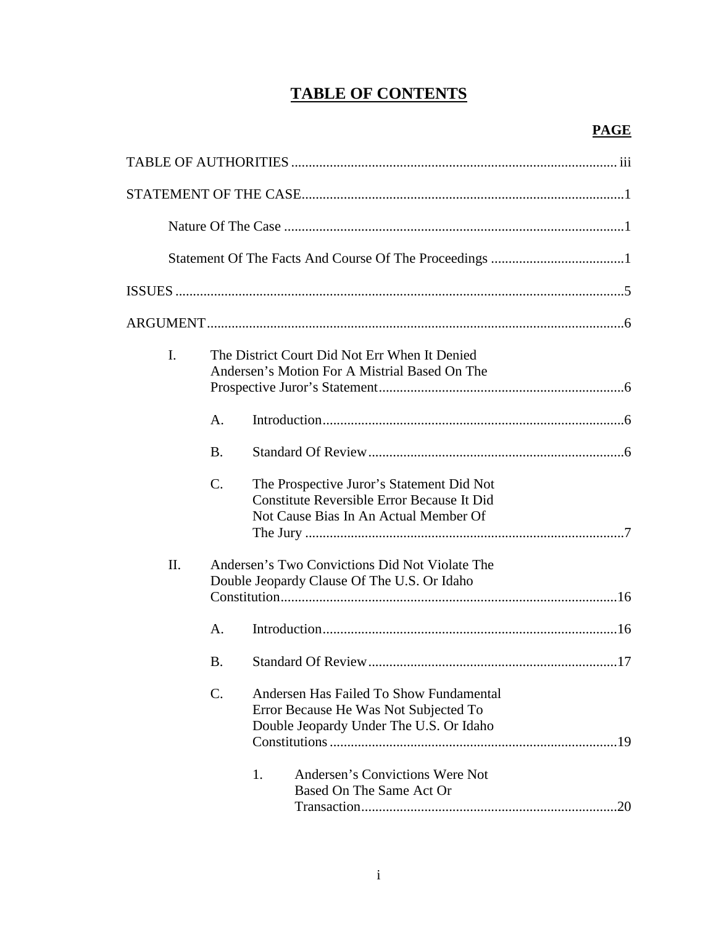# **TABLE OF CONTENTS**

| I.  |                | The District Court Did Not Err When It Denied<br>Andersen's Motion For A Mistrial Based On The                                                                                                   |    |
|-----|----------------|--------------------------------------------------------------------------------------------------------------------------------------------------------------------------------------------------|----|
|     | A <sub>1</sub> |                                                                                                                                                                                                  |    |
|     | <b>B.</b>      |                                                                                                                                                                                                  |    |
|     | $C_{\cdot}$    | The Prospective Juror's Statement Did Not<br>Constitute Reversible Error Because It Did<br>Not Cause Bias In An Actual Member Of                                                                 |    |
| II. |                | Andersen's Two Convictions Did Not Violate The<br>Double Jeopardy Clause Of The U.S. Or Idaho                                                                                                    |    |
|     | А.             |                                                                                                                                                                                                  |    |
|     | Β.             |                                                                                                                                                                                                  |    |
|     | C.             | Andersen Has Failed To Show Fundamental<br>Error Because He Was Not Subjected To<br>Double Jeopardy Under The U.S. Or Idaho<br>Andersen's Convictions Were Not<br>1.<br>Based On The Same Act Or | 20 |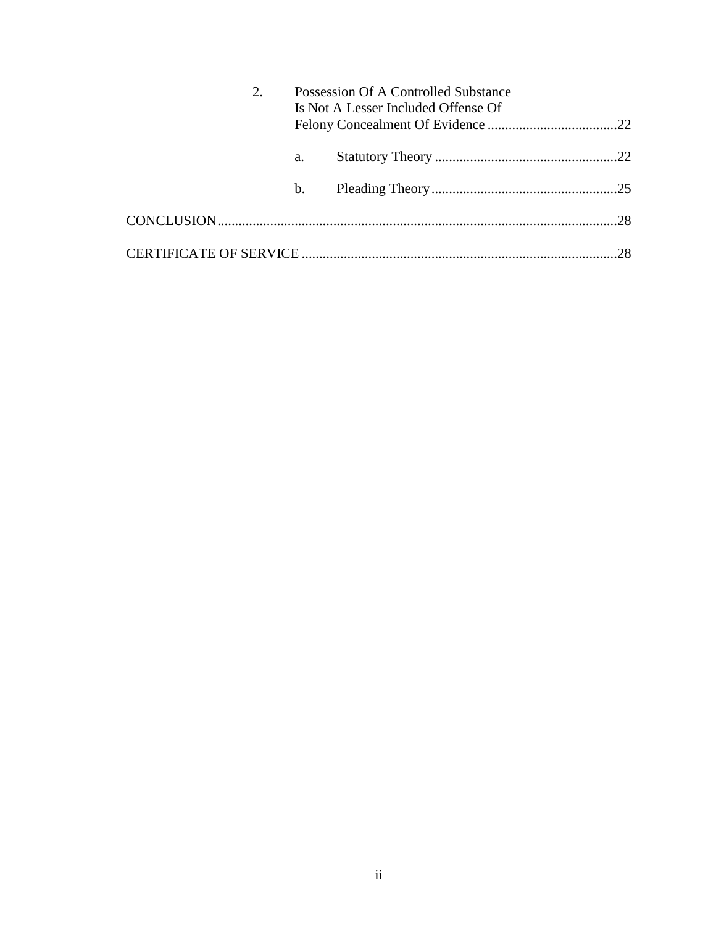| 2. |                | Possession Of A Controlled Substance<br>Is Not A Lesser Included Offense Of |    |
|----|----------------|-----------------------------------------------------------------------------|----|
|    | a.             |                                                                             |    |
|    | $\mathbf{b}$ . |                                                                             |    |
|    |                |                                                                             |    |
|    |                |                                                                             | 28 |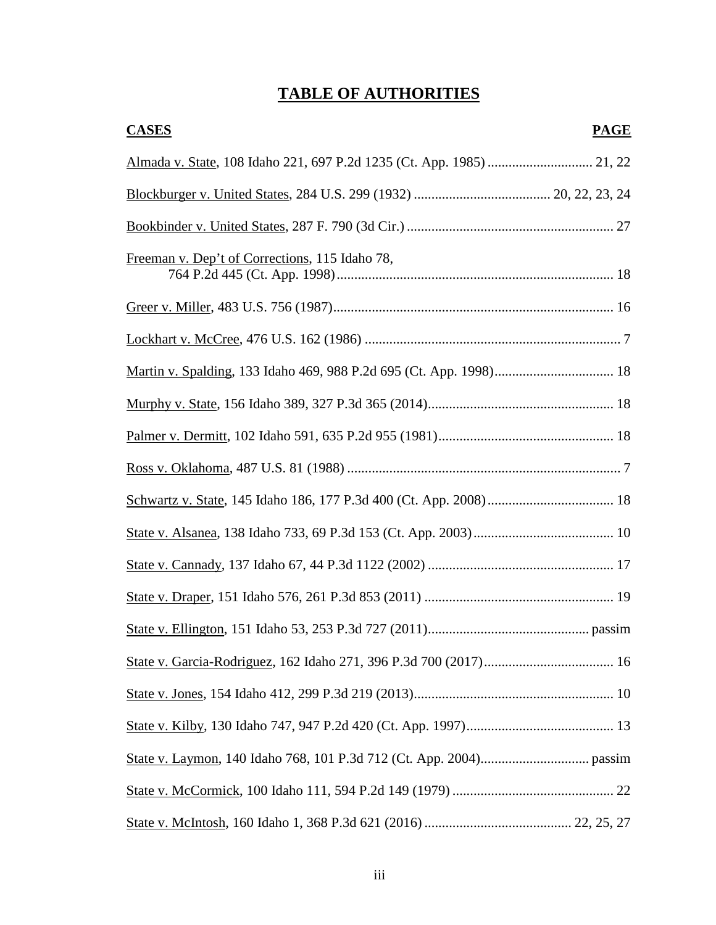# **TABLE OF AUTHORITIES**

| <b>CASES</b>                                   | <b>PAGE</b> |
|------------------------------------------------|-------------|
|                                                |             |
|                                                |             |
|                                                |             |
| Freeman v. Dep't of Corrections, 115 Idaho 78, |             |
|                                                |             |
|                                                |             |
|                                                |             |
|                                                |             |
|                                                |             |
|                                                |             |
|                                                |             |
|                                                |             |
|                                                |             |
|                                                |             |
|                                                |             |
|                                                |             |
|                                                |             |
|                                                |             |
|                                                |             |
|                                                |             |
|                                                |             |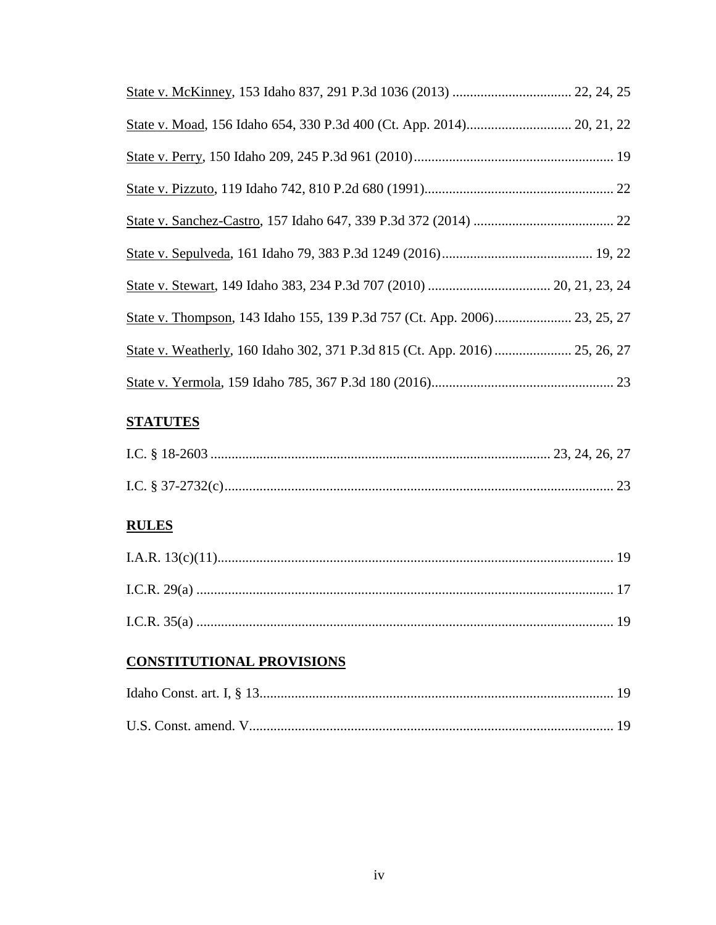| State v. Weatherly, 160 Idaho 302, 371 P.3d 815 (Ct. App. 2016)  25, 26, 27 |  |
|-----------------------------------------------------------------------------|--|
|                                                                             |  |

# **STATUTES**

# **RULES**

# **CONSTITUTIONAL PROVISIONS**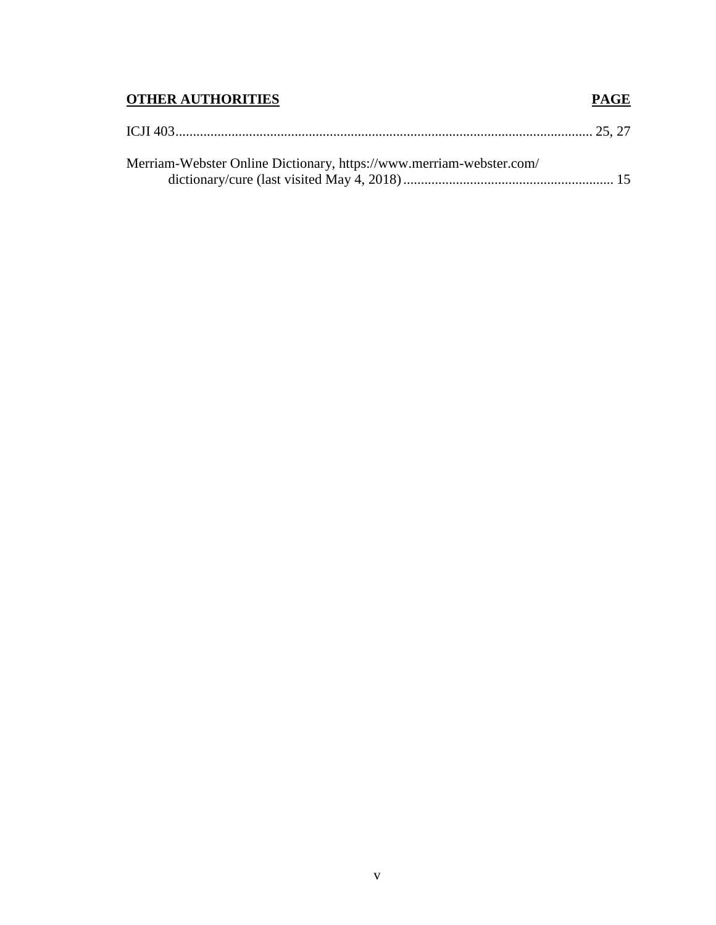# **OTHER AUTHORITIES PAGE**

| Merriam-Webster Online Dictionary, https://www.merriam-webster.com/ |  |
|---------------------------------------------------------------------|--|
|                                                                     |  |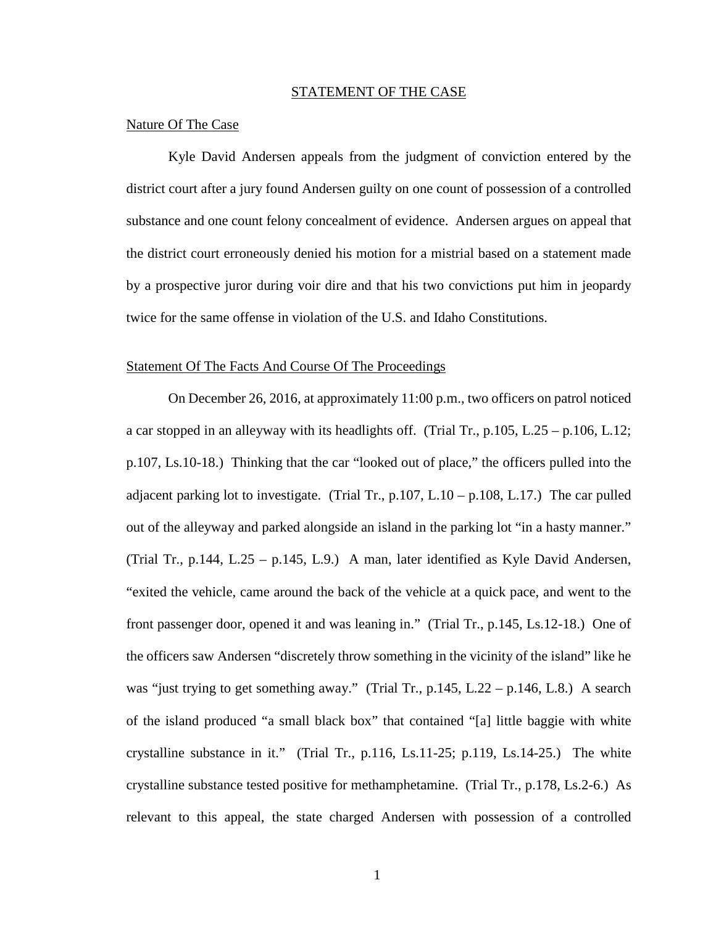#### STATEMENT OF THE CASE

#### Nature Of The Case

Kyle David Andersen appeals from the judgment of conviction entered by the district court after a jury found Andersen guilty on one count of possession of a controlled substance and one count felony concealment of evidence. Andersen argues on appeal that the district court erroneously denied his motion for a mistrial based on a statement made by a prospective juror during voir dire and that his two convictions put him in jeopardy twice for the same offense in violation of the U.S. and Idaho Constitutions.

### Statement Of The Facts And Course Of The Proceedings

On December 26, 2016, at approximately 11:00 p.m., two officers on patrol noticed a car stopped in an alleyway with its headlights off. (Trial Tr.,  $p.105$ , L.25 –  $p.106$ , L.12; p.107, Ls.10-18.) Thinking that the car "looked out of place," the officers pulled into the adjacent parking lot to investigate. (Trial Tr.,  $p.107$ , L.10 –  $p.108$ , L.17.) The car pulled out of the alleyway and parked alongside an island in the parking lot "in a hasty manner." (Trial Tr., p.144, L.25 – p.145, L.9.) A man, later identified as Kyle David Andersen, "exited the vehicle, came around the back of the vehicle at a quick pace, and went to the front passenger door, opened it and was leaning in." (Trial Tr., p.145, Ls.12-18.) One of the officers saw Andersen "discretely throw something in the vicinity of the island" like he was "just trying to get something away." (Trial Tr., p.145, L.22 – p.146, L.8.) A search of the island produced "a small black box" that contained "[a] little baggie with white crystalline substance in it." (Trial Tr., p.116, Ls.11-25; p.119, Ls.14-25.) The white crystalline substance tested positive for methamphetamine. (Trial Tr., p.178, Ls.2-6.) As relevant to this appeal, the state charged Andersen with possession of a controlled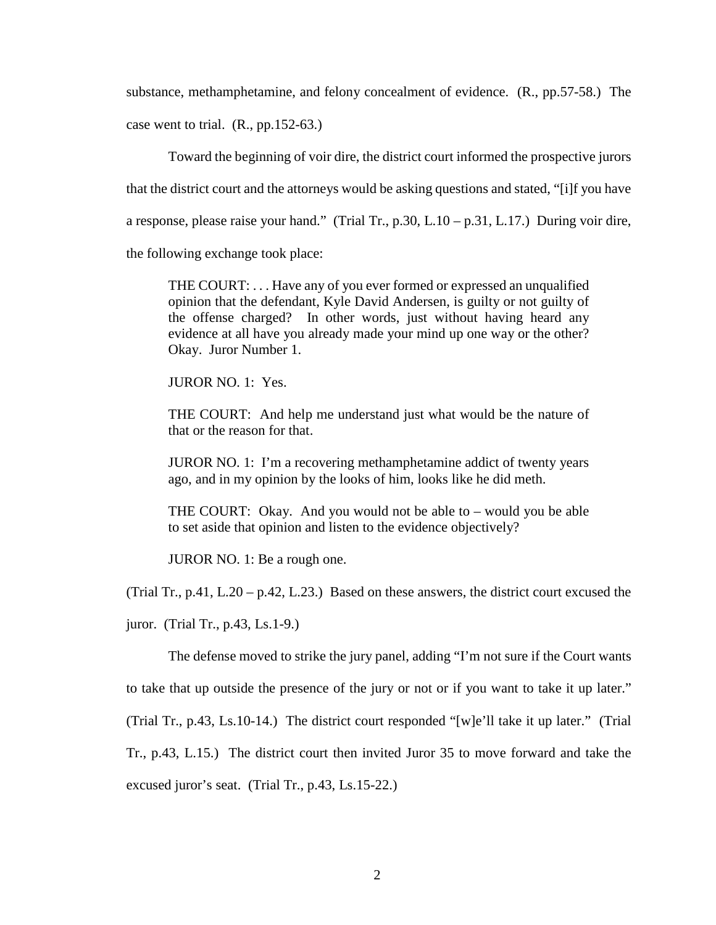substance, methamphetamine, and felony concealment of evidence. (R., pp.57-58.) The case went to trial. (R., pp.152-63.)

Toward the beginning of voir dire, the district court informed the prospective jurors that the district court and the attorneys would be asking questions and stated, "[i]f you have a response, please raise your hand." (Trial Tr., p.30, L.10 – p.31, L.17.) During voir dire, the following exchange took place:

THE COURT: . . . Have any of you ever formed or expressed an unqualified opinion that the defendant, Kyle David Andersen, is guilty or not guilty of the offense charged? In other words, just without having heard any evidence at all have you already made your mind up one way or the other? Okay. Juror Number 1.

JUROR NO. 1: Yes.

THE COURT: And help me understand just what would be the nature of that or the reason for that.

JUROR NO. 1: I'm a recovering methamphetamine addict of twenty years ago, and in my opinion by the looks of him, looks like he did meth.

THE COURT: Okay. And you would not be able to – would you be able to set aside that opinion and listen to the evidence objectively?

JUROR NO. 1: Be a rough one.

(Trial Tr., p.41, L.20 – p.42, L.23.) Based on these answers, the district court excused the

juror. (Trial Tr., p.43, Ls.1-9.)

The defense moved to strike the jury panel, adding "I'm not sure if the Court wants to take that up outside the presence of the jury or not or if you want to take it up later." (Trial Tr., p.43, Ls.10-14.) The district court responded "[w]e'll take it up later." (Trial Tr., p.43, L.15.) The district court then invited Juror 35 to move forward and take the excused juror's seat. (Trial Tr., p.43, Ls.15-22.)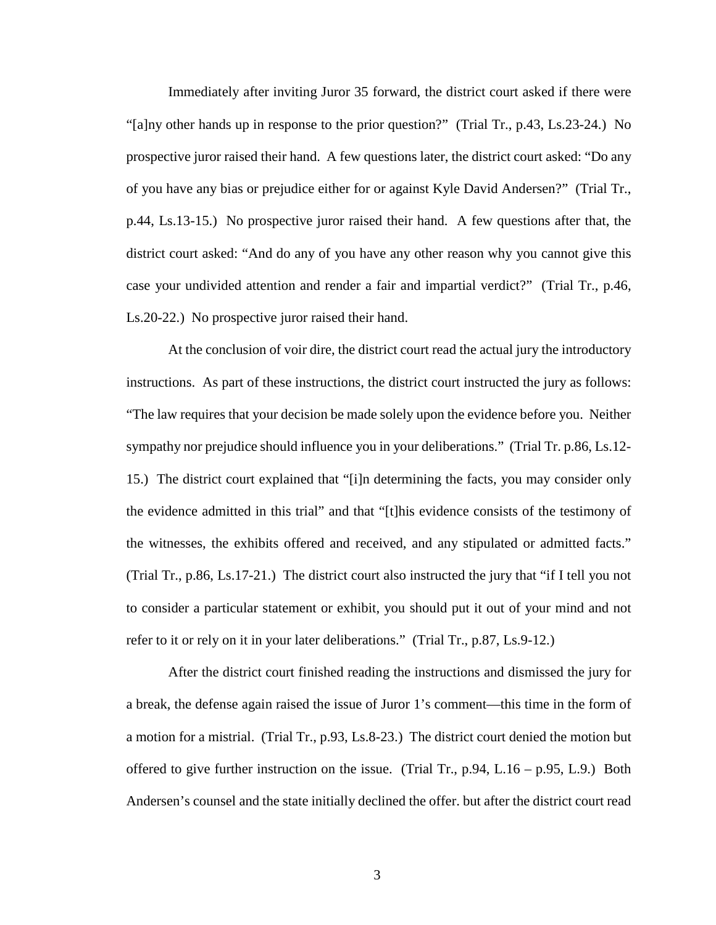Immediately after inviting Juror 35 forward, the district court asked if there were "[a]ny other hands up in response to the prior question?" (Trial Tr., p.43, Ls.23-24.) No prospective juror raised their hand. A few questions later, the district court asked: "Do any of you have any bias or prejudice either for or against Kyle David Andersen?" (Trial Tr., p.44, Ls.13-15.) No prospective juror raised their hand. A few questions after that, the district court asked: "And do any of you have any other reason why you cannot give this case your undivided attention and render a fair and impartial verdict?" (Trial Tr., p.46, Ls.20-22.) No prospective juror raised their hand.

At the conclusion of voir dire, the district court read the actual jury the introductory instructions. As part of these instructions, the district court instructed the jury as follows: "The law requires that your decision be made solely upon the evidence before you. Neither sympathy nor prejudice should influence you in your deliberations." (Trial Tr. p.86, Ls.12- 15.) The district court explained that "[i]n determining the facts, you may consider only the evidence admitted in this trial" and that "[t]his evidence consists of the testimony of the witnesses, the exhibits offered and received, and any stipulated or admitted facts." (Trial Tr., p.86, Ls.17-21.) The district court also instructed the jury that "if I tell you not to consider a particular statement or exhibit, you should put it out of your mind and not refer to it or rely on it in your later deliberations." (Trial Tr., p.87, Ls.9-12.)

After the district court finished reading the instructions and dismissed the jury for a break, the defense again raised the issue of Juror 1's comment—this time in the form of a motion for a mistrial. (Trial Tr., p.93, Ls.8-23.) The district court denied the motion but offered to give further instruction on the issue. (Trial Tr.,  $p.94$ , L.16 –  $p.95$ , L.9.) Both Andersen's counsel and the state initially declined the offer. but after the district court read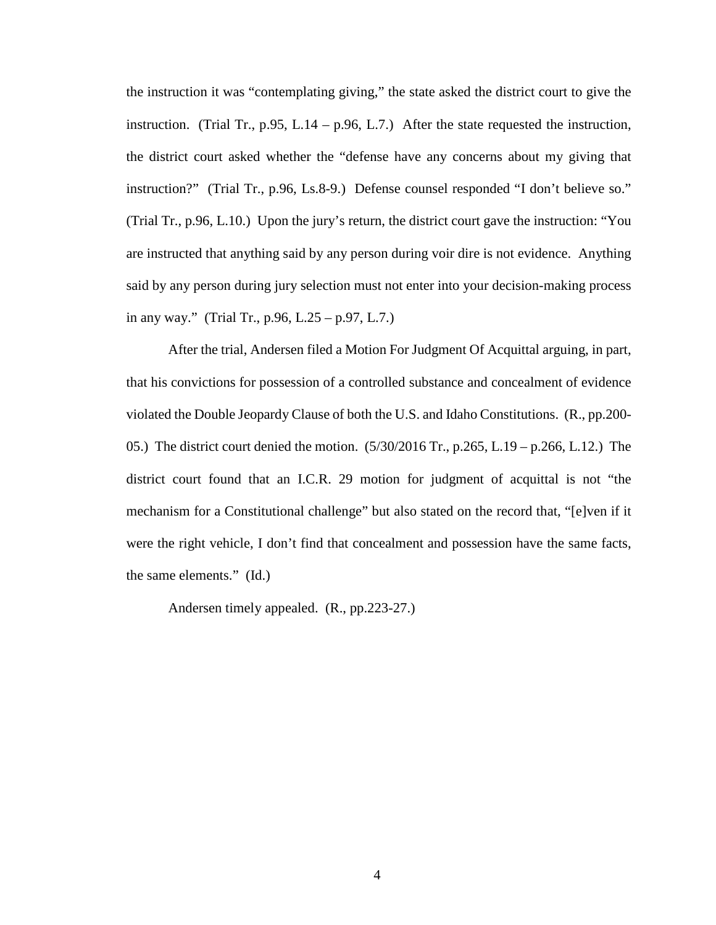the instruction it was "contemplating giving," the state asked the district court to give the instruction. (Trial Tr., p.95, L.14 – p.96, L.7.) After the state requested the instruction, the district court asked whether the "defense have any concerns about my giving that instruction?" (Trial Tr., p.96, Ls.8-9.) Defense counsel responded "I don't believe so." (Trial Tr., p.96, L.10.) Upon the jury's return, the district court gave the instruction: "You are instructed that anything said by any person during voir dire is not evidence. Anything said by any person during jury selection must not enter into your decision-making process in any way." (Trial Tr., p.96, L.25 – p.97, L.7.)

After the trial, Andersen filed a Motion For Judgment Of Acquittal arguing, in part, that his convictions for possession of a controlled substance and concealment of evidence violated the Double Jeopardy Clause of both the U.S. and Idaho Constitutions. (R., pp.200- 05.) The district court denied the motion. (5/30/2016 Tr., p.265, L.19 – p.266, L.12.) The district court found that an I.C.R. 29 motion for judgment of acquittal is not "the mechanism for a Constitutional challenge" but also stated on the record that, "[e]ven if it were the right vehicle, I don't find that concealment and possession have the same facts, the same elements." (Id.)

Andersen timely appealed. (R., pp.223-27.)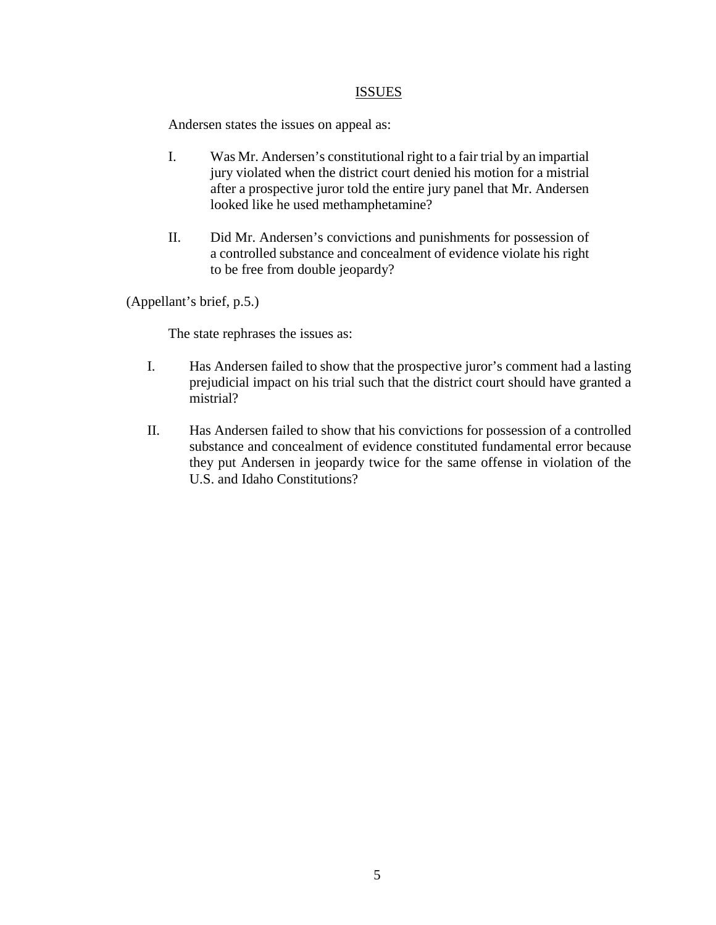### ISSUES

Andersen states the issues on appeal as:

- I. Was Mr. Andersen's constitutional right to a fair trial by an impartial jury violated when the district court denied his motion for a mistrial after a prospective juror told the entire jury panel that Mr. Andersen looked like he used methamphetamine?
- II. Did Mr. Andersen's convictions and punishments for possession of a controlled substance and concealment of evidence violate his right to be free from double jeopardy?

(Appellant's brief, p.5.)

The state rephrases the issues as:

- I. Has Andersen failed to show that the prospective juror's comment had a lasting prejudicial impact on his trial such that the district court should have granted a mistrial?
- II. Has Andersen failed to show that his convictions for possession of a controlled substance and concealment of evidence constituted fundamental error because they put Andersen in jeopardy twice for the same offense in violation of the U.S. and Idaho Constitutions?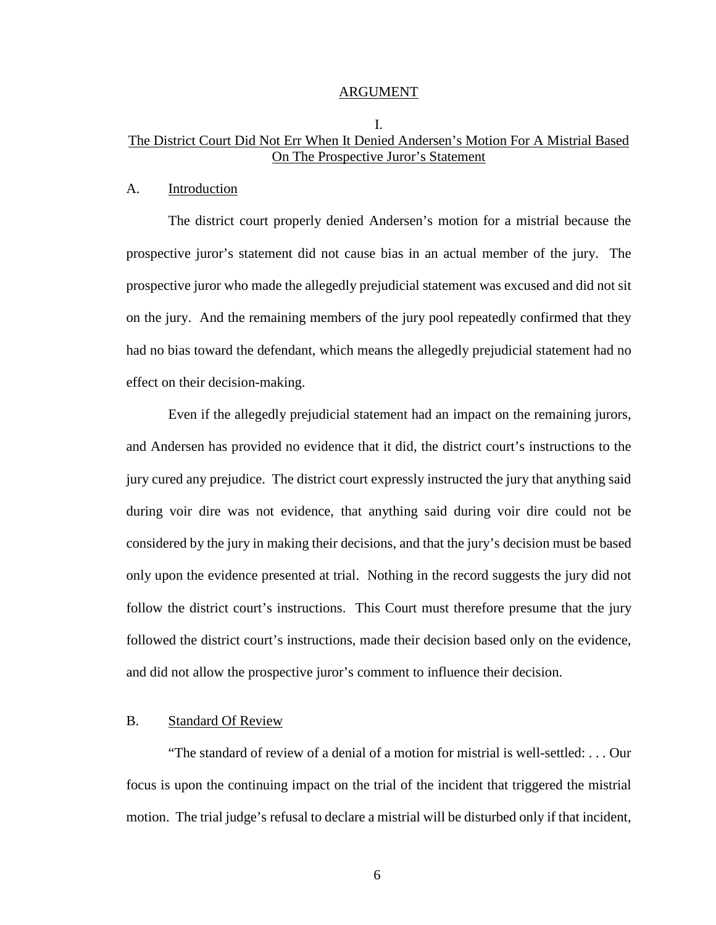#### ARGUMENT

# I. The District Court Did Not Err When It Denied Andersen's Motion For A Mistrial Based On The Prospective Juror's Statement

#### A. Introduction

The district court properly denied Andersen's motion for a mistrial because the prospective juror's statement did not cause bias in an actual member of the jury. The prospective juror who made the allegedly prejudicial statement was excused and did not sit on the jury. And the remaining members of the jury pool repeatedly confirmed that they had no bias toward the defendant, which means the allegedly prejudicial statement had no effect on their decision-making.

Even if the allegedly prejudicial statement had an impact on the remaining jurors, and Andersen has provided no evidence that it did, the district court's instructions to the jury cured any prejudice. The district court expressly instructed the jury that anything said during voir dire was not evidence, that anything said during voir dire could not be considered by the jury in making their decisions, and that the jury's decision must be based only upon the evidence presented at trial. Nothing in the record suggests the jury did not follow the district court's instructions. This Court must therefore presume that the jury followed the district court's instructions, made their decision based only on the evidence, and did not allow the prospective juror's comment to influence their decision.

### B. Standard Of Review

"The standard of review of a denial of a motion for mistrial is well-settled: . . . Our focus is upon the continuing impact on the trial of the incident that triggered the mistrial motion. The trial judge's refusal to declare a mistrial will be disturbed only if that incident,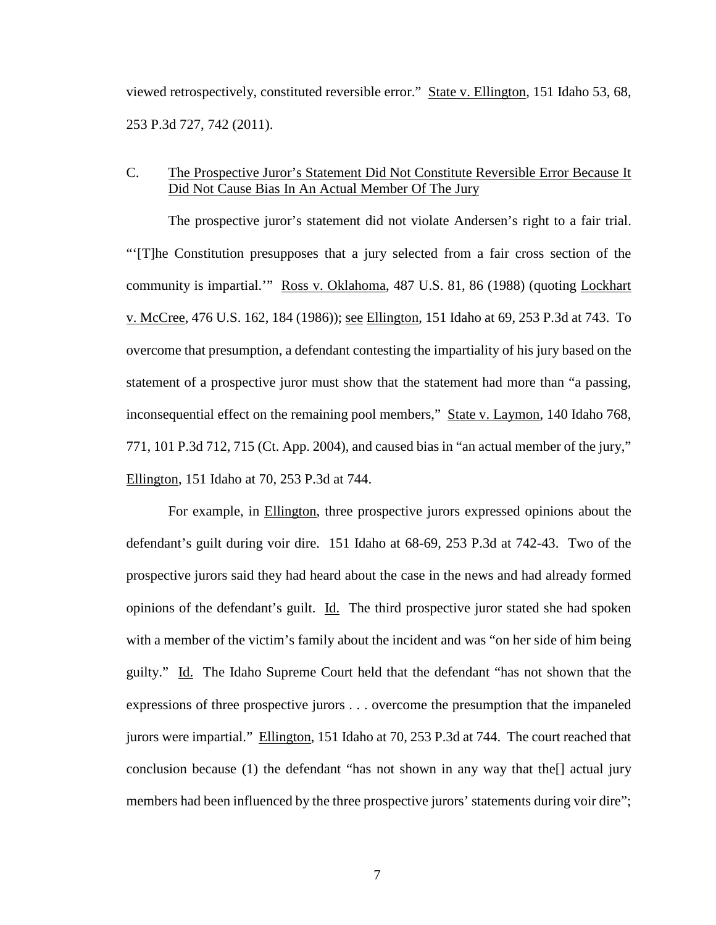viewed retrospectively, constituted reversible error." State v. Ellington, 151 Idaho 53, 68, 253 P.3d 727, 742 (2011).

# C. The Prospective Juror's Statement Did Not Constitute Reversible Error Because It Did Not Cause Bias In An Actual Member Of The Jury

The prospective juror's statement did not violate Andersen's right to a fair trial. "'[T]he Constitution presupposes that a jury selected from a fair cross section of the community is impartial.'" Ross v. Oklahoma, 487 U.S. 81, 86 (1988) (quoting Lockhart v. McCree, 476 U.S. 162, 184 (1986)); see Ellington, 151 Idaho at 69, 253 P.3d at 743. To overcome that presumption, a defendant contesting the impartiality of his jury based on the statement of a prospective juror must show that the statement had more than "a passing, inconsequential effect on the remaining pool members," State v. Laymon, 140 Idaho 768, 771, 101 P.3d 712, 715 (Ct. App. 2004), and caused bias in "an actual member of the jury," Ellington, 151 Idaho at 70, 253 P.3d at 744.

For example, in Ellington, three prospective jurors expressed opinions about the defendant's guilt during voir dire. 151 Idaho at 68-69, 253 P.3d at 742-43. Two of the prospective jurors said they had heard about the case in the news and had already formed opinions of the defendant's guilt. Id. The third prospective juror stated she had spoken with a member of the victim's family about the incident and was "on her side of him being guilty." Id. The Idaho Supreme Court held that the defendant "has not shown that the expressions of three prospective jurors . . . overcome the presumption that the impaneled jurors were impartial." Ellington, 151 Idaho at 70, 253 P.3d at 744. The court reached that conclusion because (1) the defendant "has not shown in any way that the[] actual jury members had been influenced by the three prospective jurors' statements during voir dire";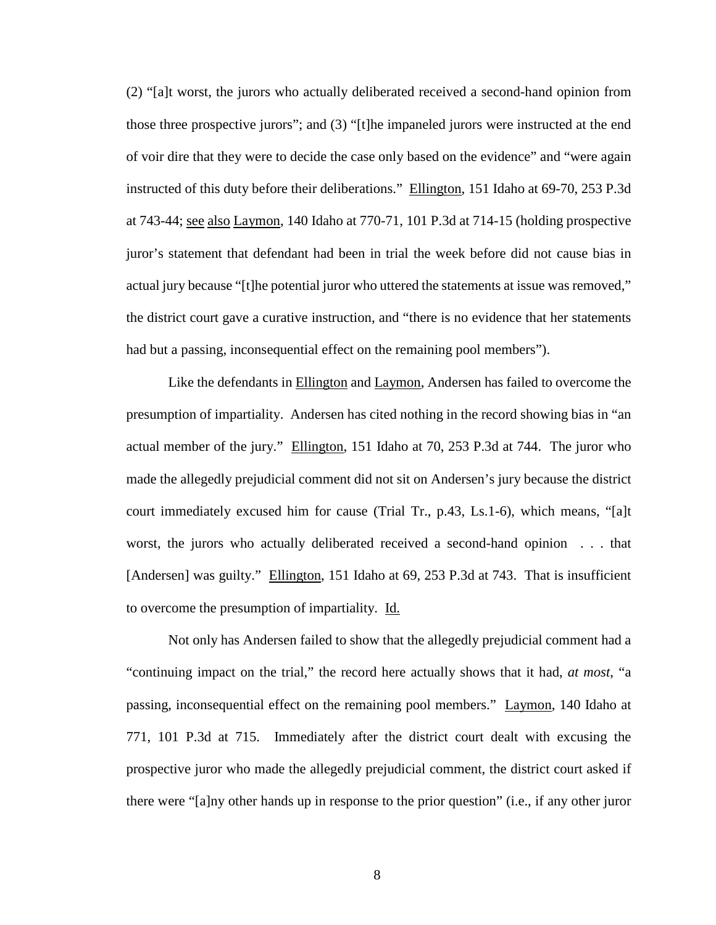(2) "[a]t worst, the jurors who actually deliberated received a second-hand opinion from those three prospective jurors"; and (3) "[t]he impaneled jurors were instructed at the end of voir dire that they were to decide the case only based on the evidence" and "were again instructed of this duty before their deliberations." Ellington, 151 Idaho at 69-70, 253 P.3d at 743-44; see also Laymon, 140 Idaho at 770-71, 101 P.3d at 714-15 (holding prospective juror's statement that defendant had been in trial the week before did not cause bias in actual jury because "[t]he potential juror who uttered the statements at issue was removed," the district court gave a curative instruction, and "there is no evidence that her statements had but a passing, inconsequential effect on the remaining pool members").

Like the defendants in Ellington and Laymon, Andersen has failed to overcome the presumption of impartiality. Andersen has cited nothing in the record showing bias in "an actual member of the jury." Ellington, 151 Idaho at 70, 253 P.3d at 744. The juror who made the allegedly prejudicial comment did not sit on Andersen's jury because the district court immediately excused him for cause (Trial Tr., p.43, Ls.1-6), which means, "[a]t worst, the jurors who actually deliberated received a second-hand opinion . . . that [Andersen] was guilty." Ellington, 151 Idaho at 69, 253 P.3d at 743. That is insufficient to overcome the presumption of impartiality. Id.

Not only has Andersen failed to show that the allegedly prejudicial comment had a "continuing impact on the trial," the record here actually shows that it had, *at most*, "a passing, inconsequential effect on the remaining pool members." Laymon, 140 Idaho at 771, 101 P.3d at 715. Immediately after the district court dealt with excusing the prospective juror who made the allegedly prejudicial comment, the district court asked if there were "[a]ny other hands up in response to the prior question" (i.e., if any other juror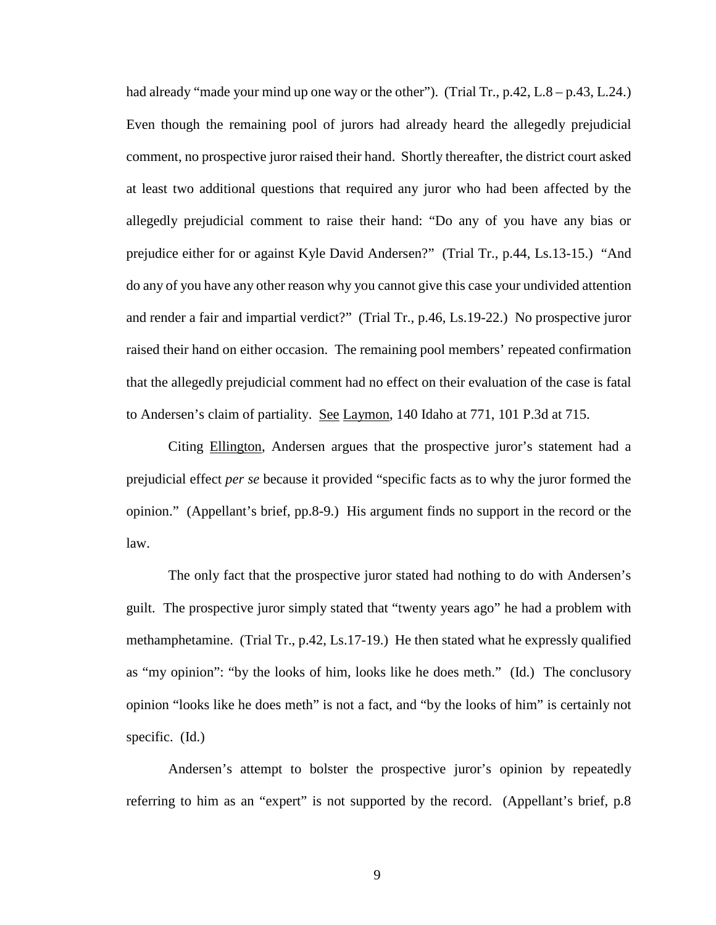had already "made your mind up one way or the other"). (Trial Tr., p.42, L.8 – p.43, L.24.) Even though the remaining pool of jurors had already heard the allegedly prejudicial comment, no prospective juror raised their hand. Shortly thereafter, the district court asked at least two additional questions that required any juror who had been affected by the allegedly prejudicial comment to raise their hand: "Do any of you have any bias or prejudice either for or against Kyle David Andersen?" (Trial Tr., p.44, Ls.13-15.) "And do any of you have any other reason why you cannot give this case your undivided attention and render a fair and impartial verdict?" (Trial Tr., p.46, Ls.19-22.) No prospective juror raised their hand on either occasion. The remaining pool members' repeated confirmation that the allegedly prejudicial comment had no effect on their evaluation of the case is fatal to Andersen's claim of partiality. See Laymon, 140 Idaho at 771, 101 P.3d at 715.

Citing Ellington, Andersen argues that the prospective juror's statement had a prejudicial effect *per se* because it provided "specific facts as to why the juror formed the opinion." (Appellant's brief, pp.8-9.) His argument finds no support in the record or the law.

The only fact that the prospective juror stated had nothing to do with Andersen's guilt. The prospective juror simply stated that "twenty years ago" he had a problem with methamphetamine. (Trial Tr., p.42, Ls.17-19.) He then stated what he expressly qualified as "my opinion": "by the looks of him, looks like he does meth." (Id.) The conclusory opinion "looks like he does meth" is not a fact, and "by the looks of him" is certainly not specific. (Id.)

Andersen's attempt to bolster the prospective juror's opinion by repeatedly referring to him as an "expert" is not supported by the record. (Appellant's brief, p.8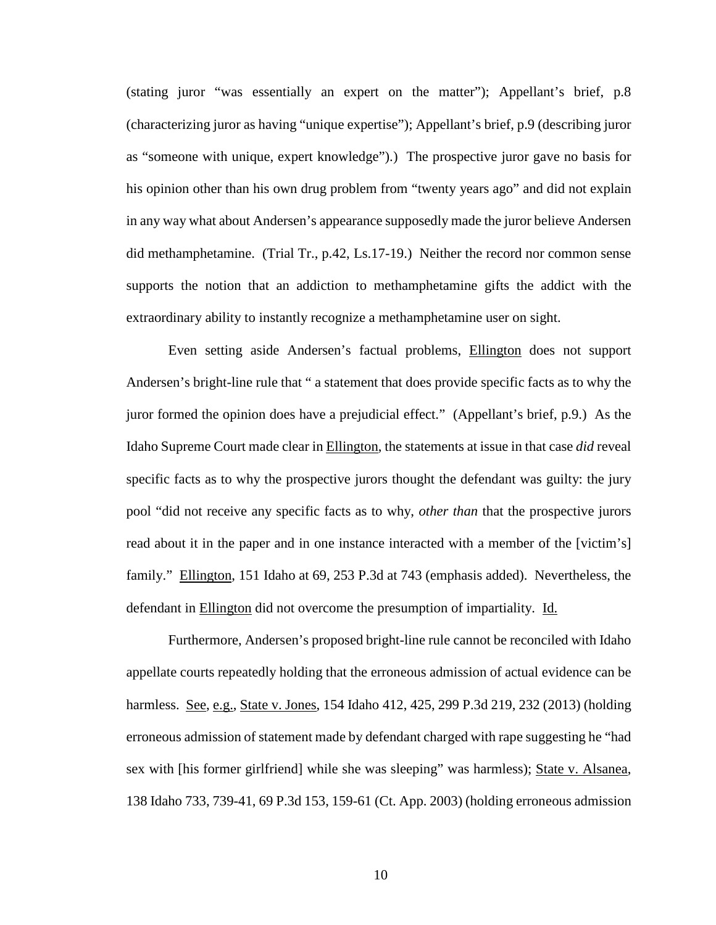(stating juror "was essentially an expert on the matter"); Appellant's brief, p.8 (characterizing juror as having "unique expertise"); Appellant's brief, p.9 (describing juror as "someone with unique, expert knowledge").) The prospective juror gave no basis for his opinion other than his own drug problem from "twenty years ago" and did not explain in any way what about Andersen's appearance supposedly made the juror believe Andersen did methamphetamine. (Trial Tr., p.42, Ls.17-19.) Neither the record nor common sense supports the notion that an addiction to methamphetamine gifts the addict with the extraordinary ability to instantly recognize a methamphetamine user on sight.

Even setting aside Andersen's factual problems, Ellington does not support Andersen's bright-line rule that " a statement that does provide specific facts as to why the juror formed the opinion does have a prejudicial effect." (Appellant's brief, p.9.) As the Idaho Supreme Court made clear in Ellington, the statements at issue in that case *did* reveal specific facts as to why the prospective jurors thought the defendant was guilty: the jury pool "did not receive any specific facts as to why, *other than* that the prospective jurors read about it in the paper and in one instance interacted with a member of the [victim's] family." Ellington, 151 Idaho at 69, 253 P.3d at 743 (emphasis added). Nevertheless, the defendant in Ellington did not overcome the presumption of impartiality. Id.

Furthermore, Andersen's proposed bright-line rule cannot be reconciled with Idaho appellate courts repeatedly holding that the erroneous admission of actual evidence can be harmless. See, e.g., State v. Jones, 154 Idaho 412, 425, 299 P.3d 219, 232 (2013) (holding erroneous admission of statement made by defendant charged with rape suggesting he "had sex with [his former girlfriend] while she was sleeping" was harmless); State v. Alsanea, 138 Idaho 733, 739-41, 69 P.3d 153, 159-61 (Ct. App. 2003) (holding erroneous admission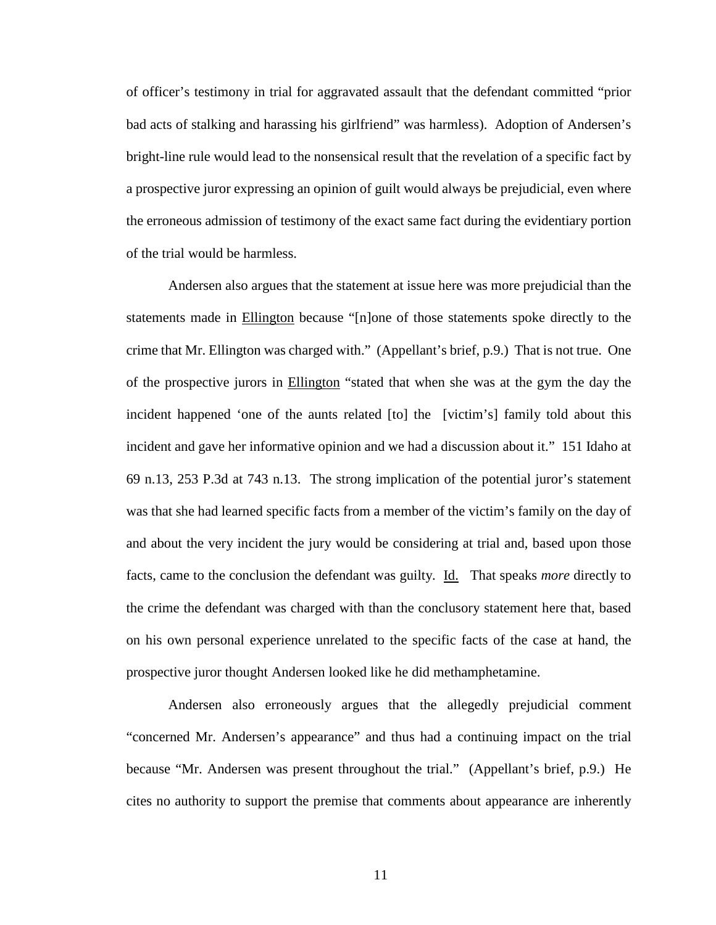of officer's testimony in trial for aggravated assault that the defendant committed "prior bad acts of stalking and harassing his girlfriend" was harmless). Adoption of Andersen's bright-line rule would lead to the nonsensical result that the revelation of a specific fact by a prospective juror expressing an opinion of guilt would always be prejudicial, even where the erroneous admission of testimony of the exact same fact during the evidentiary portion of the trial would be harmless.

Andersen also argues that the statement at issue here was more prejudicial than the statements made in Ellington because "[n]one of those statements spoke directly to the crime that Mr. Ellington was charged with." (Appellant's brief, p.9.) That is not true. One of the prospective jurors in Ellington "stated that when she was at the gym the day the incident happened 'one of the aunts related [to] the [victim's] family told about this incident and gave her informative opinion and we had a discussion about it." 151 Idaho at 69 n.13, 253 P.3d at 743 n.13. The strong implication of the potential juror's statement was that she had learned specific facts from a member of the victim's family on the day of and about the very incident the jury would be considering at trial and, based upon those facts, came to the conclusion the defendant was guilty. Id. That speaks *more* directly to the crime the defendant was charged with than the conclusory statement here that, based on his own personal experience unrelated to the specific facts of the case at hand, the prospective juror thought Andersen looked like he did methamphetamine.

Andersen also erroneously argues that the allegedly prejudicial comment "concerned Mr. Andersen's appearance" and thus had a continuing impact on the trial because "Mr. Andersen was present throughout the trial." (Appellant's brief, p.9.) He cites no authority to support the premise that comments about appearance are inherently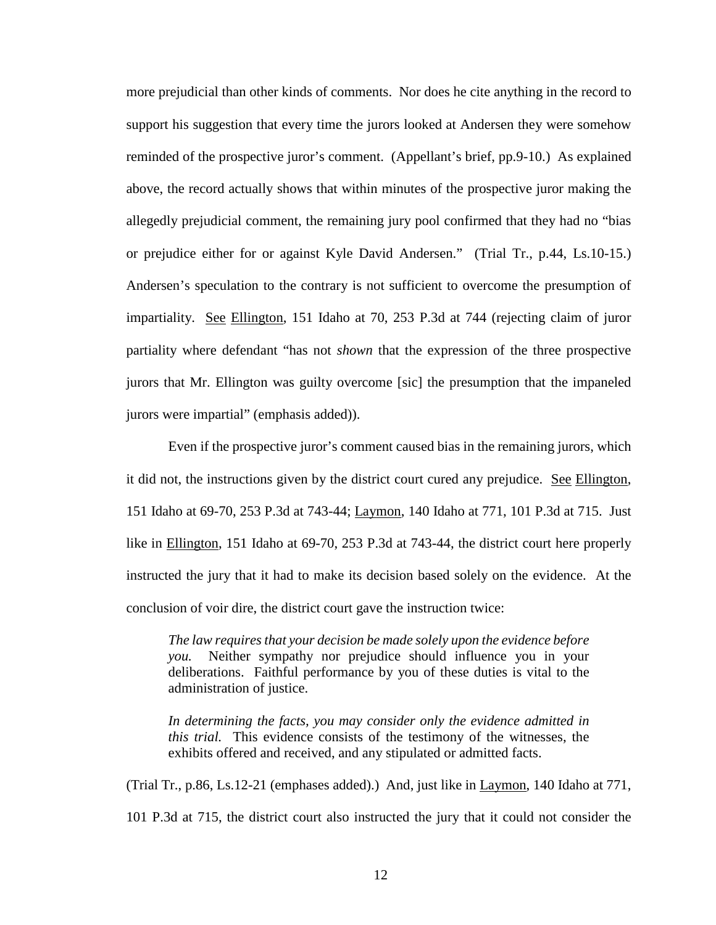more prejudicial than other kinds of comments. Nor does he cite anything in the record to support his suggestion that every time the jurors looked at Andersen they were somehow reminded of the prospective juror's comment. (Appellant's brief, pp.9-10.) As explained above, the record actually shows that within minutes of the prospective juror making the allegedly prejudicial comment, the remaining jury pool confirmed that they had no "bias or prejudice either for or against Kyle David Andersen." (Trial Tr., p.44, Ls.10-15.) Andersen's speculation to the contrary is not sufficient to overcome the presumption of impartiality. See Ellington, 151 Idaho at 70, 253 P.3d at 744 (rejecting claim of juror partiality where defendant "has not *shown* that the expression of the three prospective jurors that Mr. Ellington was guilty overcome [sic] the presumption that the impaneled jurors were impartial" (emphasis added)).

Even if the prospective juror's comment caused bias in the remaining jurors, which it did not, the instructions given by the district court cured any prejudice. See Ellington, 151 Idaho at 69-70, 253 P.3d at 743-44; Laymon, 140 Idaho at 771, 101 P.3d at 715. Just like in Ellington, 151 Idaho at 69-70, 253 P.3d at 743-44, the district court here properly instructed the jury that it had to make its decision based solely on the evidence. At the conclusion of voir dire, the district court gave the instruction twice:

*The law requires that your decision be made solely upon the evidence before you.* Neither sympathy nor prejudice should influence you in your deliberations. Faithful performance by you of these duties is vital to the administration of justice.

*In determining the facts, you may consider only the evidence admitted in this trial.* This evidence consists of the testimony of the witnesses, the exhibits offered and received, and any stipulated or admitted facts.

(Trial Tr., p.86, Ls.12-21 (emphases added).) And, just like in Laymon, 140 Idaho at 771, 101 P.3d at 715, the district court also instructed the jury that it could not consider the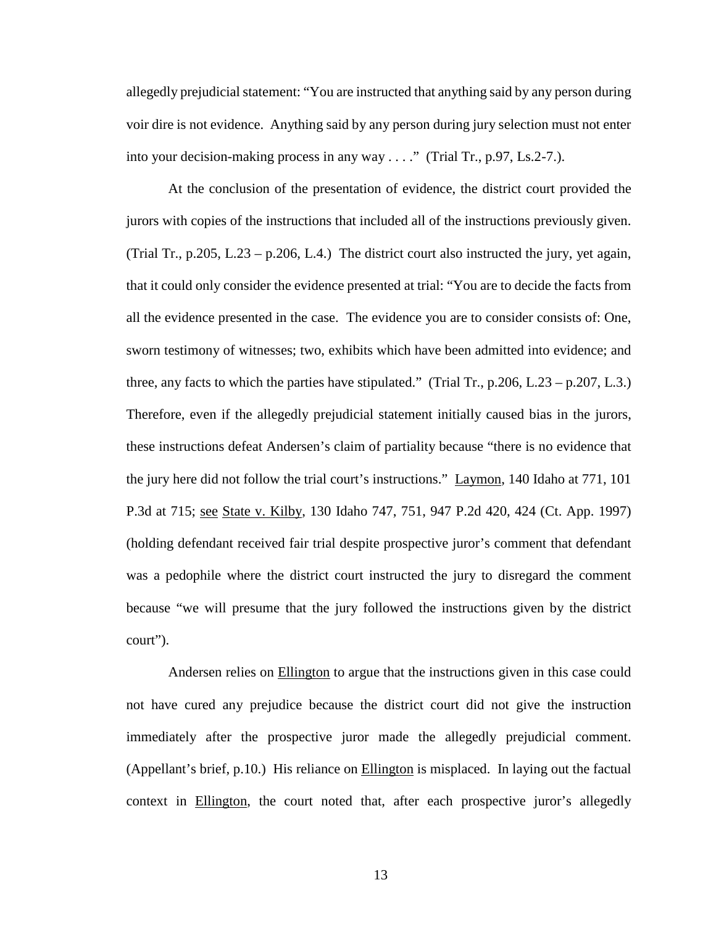allegedly prejudicial statement: "You are instructed that anything said by any person during voir dire is not evidence. Anything said by any person during jury selection must not enter into your decision-making process in any way . . . ." (Trial Tr., p.97, Ls.2-7.).

At the conclusion of the presentation of evidence, the district court provided the jurors with copies of the instructions that included all of the instructions previously given. (Trial Tr.,  $p.205$ , L.23 –  $p.206$ , L.4.) The district court also instructed the jury, yet again, that it could only consider the evidence presented at trial: "You are to decide the facts from all the evidence presented in the case. The evidence you are to consider consists of: One, sworn testimony of witnesses; two, exhibits which have been admitted into evidence; and three, any facts to which the parties have stipulated." (Trial Tr.,  $p.206$ , L.23 –  $p.207$ , L.3.) Therefore, even if the allegedly prejudicial statement initially caused bias in the jurors, these instructions defeat Andersen's claim of partiality because "there is no evidence that the jury here did not follow the trial court's instructions." Laymon, 140 Idaho at 771, 101 P.3d at 715; see State v. Kilby, 130 Idaho 747, 751, 947 P.2d 420, 424 (Ct. App. 1997) (holding defendant received fair trial despite prospective juror's comment that defendant was a pedophile where the district court instructed the jury to disregard the comment because "we will presume that the jury followed the instructions given by the district court").

Andersen relies on Ellington to argue that the instructions given in this case could not have cured any prejudice because the district court did not give the instruction immediately after the prospective juror made the allegedly prejudicial comment. (Appellant's brief, p.10.) His reliance on Ellington is misplaced. In laying out the factual context in Ellington, the court noted that, after each prospective juror's allegedly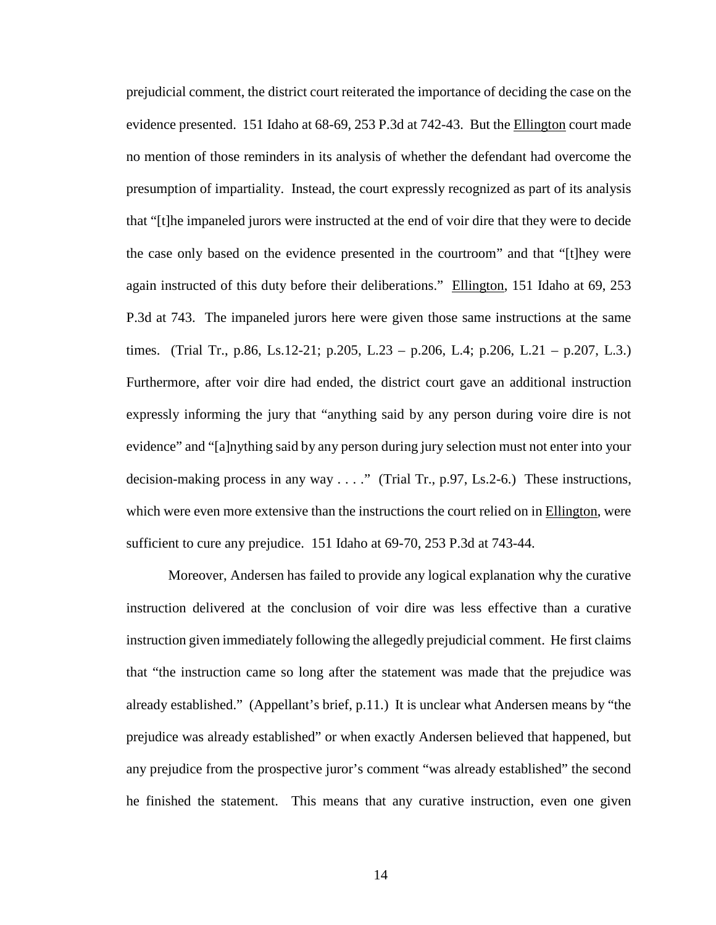prejudicial comment, the district court reiterated the importance of deciding the case on the evidence presented. 151 Idaho at 68-69, 253 P.3d at 742-43. But the Ellington court made no mention of those reminders in its analysis of whether the defendant had overcome the presumption of impartiality. Instead, the court expressly recognized as part of its analysis that "[t]he impaneled jurors were instructed at the end of voir dire that they were to decide the case only based on the evidence presented in the courtroom" and that "[t]hey were again instructed of this duty before their deliberations." Ellington, 151 Idaho at 69, 253 P.3d at 743. The impaneled jurors here were given those same instructions at the same times. (Trial Tr., p.86, Ls.12-21; p.205, L.23 – p.206, L.4; p.206, L.21 – p.207, L.3.) Furthermore, after voir dire had ended, the district court gave an additional instruction expressly informing the jury that "anything said by any person during voire dire is not evidence" and "[a]nything said by any person during jury selection must not enter into your decision-making process in any way . . . ." (Trial Tr., p.97, Ls.2-6.) These instructions, which were even more extensive than the instructions the court relied on in Ellington, were sufficient to cure any prejudice. 151 Idaho at 69-70, 253 P.3d at 743-44.

Moreover, Andersen has failed to provide any logical explanation why the curative instruction delivered at the conclusion of voir dire was less effective than a curative instruction given immediately following the allegedly prejudicial comment. He first claims that "the instruction came so long after the statement was made that the prejudice was already established." (Appellant's brief, p.11.) It is unclear what Andersen means by "the prejudice was already established" or when exactly Andersen believed that happened, but any prejudice from the prospective juror's comment "was already established" the second he finished the statement. This means that any curative instruction, even one given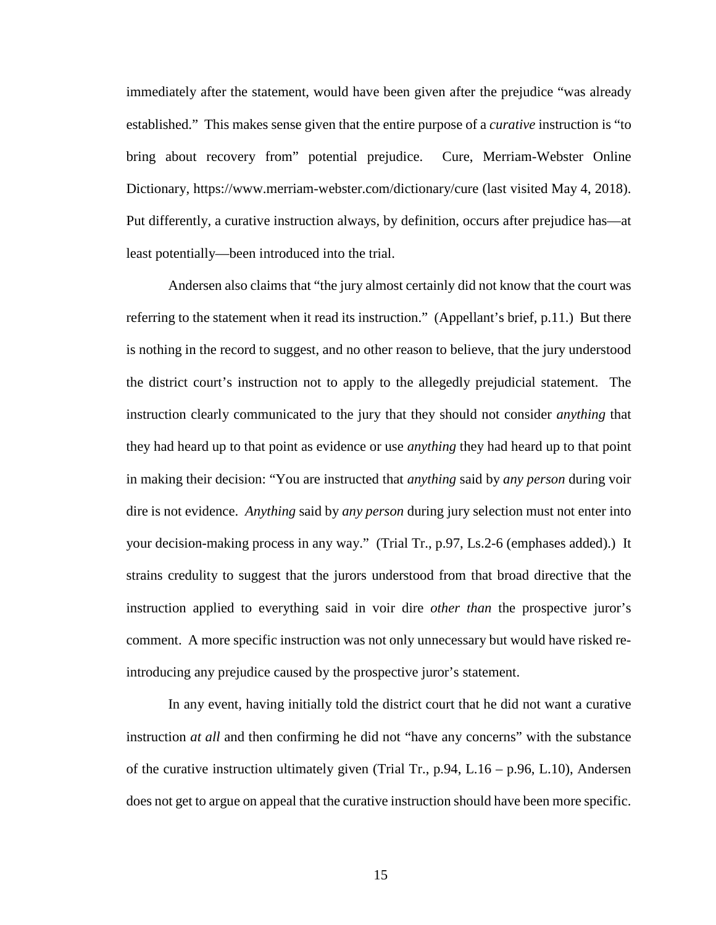immediately after the statement, would have been given after the prejudice "was already established." This makes sense given that the entire purpose of a *curative* instruction is "to bring about recovery from" potential prejudice. Cure, Merriam-Webster Online Dictionary, https://www.merriam-webster.com/dictionary/cure (last visited May 4, 2018). Put differently, a curative instruction always, by definition, occurs after prejudice has—at least potentially—been introduced into the trial.

Andersen also claims that "the jury almost certainly did not know that the court was referring to the statement when it read its instruction." (Appellant's brief, p.11.) But there is nothing in the record to suggest, and no other reason to believe, that the jury understood the district court's instruction not to apply to the allegedly prejudicial statement. The instruction clearly communicated to the jury that they should not consider *anything* that they had heard up to that point as evidence or use *anything* they had heard up to that point in making their decision: "You are instructed that *anything* said by *any person* during voir dire is not evidence. *Anything* said by *any person* during jury selection must not enter into your decision-making process in any way." (Trial Tr., p.97, Ls.2-6 (emphases added).) It strains credulity to suggest that the jurors understood from that broad directive that the instruction applied to everything said in voir dire *other than* the prospective juror's comment. A more specific instruction was not only unnecessary but would have risked reintroducing any prejudice caused by the prospective juror's statement.

In any event, having initially told the district court that he did not want a curative instruction *at all* and then confirming he did not "have any concerns" with the substance of the curative instruction ultimately given (Trial Tr., p.94, L.16 – p.96, L.10), Andersen does not get to argue on appeal that the curative instruction should have been more specific.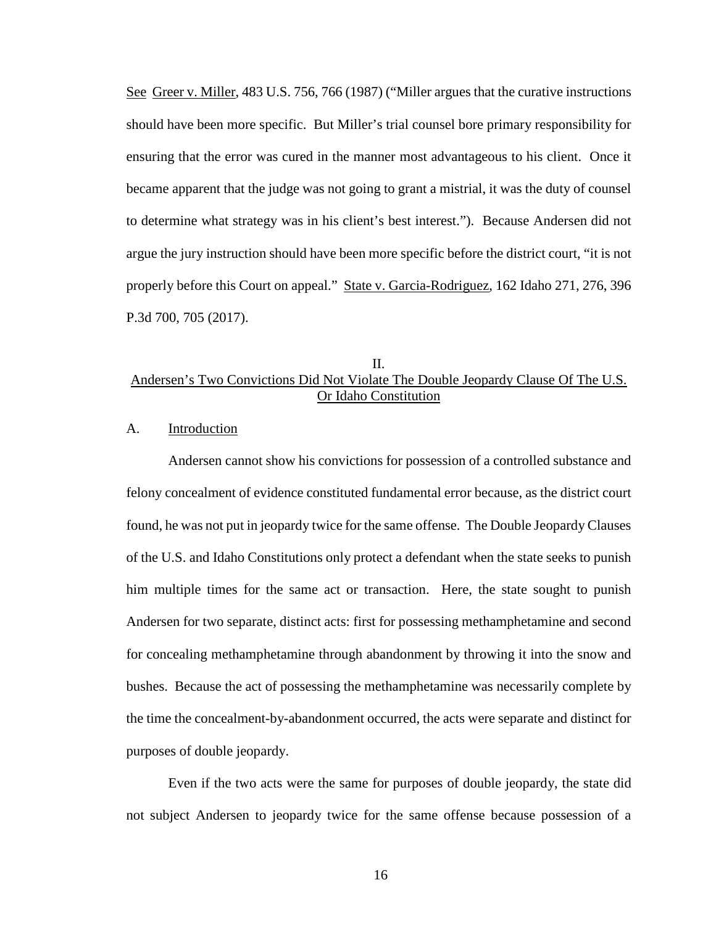See Greer v. Miller, 483 U.S. 756, 766 (1987) ("Miller argues that the curative instructions should have been more specific. But Miller's trial counsel bore primary responsibility for ensuring that the error was cured in the manner most advantageous to his client. Once it became apparent that the judge was not going to grant a mistrial, it was the duty of counsel to determine what strategy was in his client's best interest."). Because Andersen did not argue the jury instruction should have been more specific before the district court, "it is not properly before this Court on appeal." State v. Garcia-Rodriguez, 162 Idaho 271, 276, 396 P.3d 700, 705 (2017).

# II. Andersen's Two Convictions Did Not Violate The Double Jeopardy Clause Of The U.S. Or Idaho Constitution

#### A. Introduction

Andersen cannot show his convictions for possession of a controlled substance and felony concealment of evidence constituted fundamental error because, as the district court found, he was not put in jeopardy twice for the same offense. The Double Jeopardy Clauses of the U.S. and Idaho Constitutions only protect a defendant when the state seeks to punish him multiple times for the same act or transaction. Here, the state sought to punish Andersen for two separate, distinct acts: first for possessing methamphetamine and second for concealing methamphetamine through abandonment by throwing it into the snow and bushes. Because the act of possessing the methamphetamine was necessarily complete by the time the concealment-by-abandonment occurred, the acts were separate and distinct for purposes of double jeopardy.

Even if the two acts were the same for purposes of double jeopardy, the state did not subject Andersen to jeopardy twice for the same offense because possession of a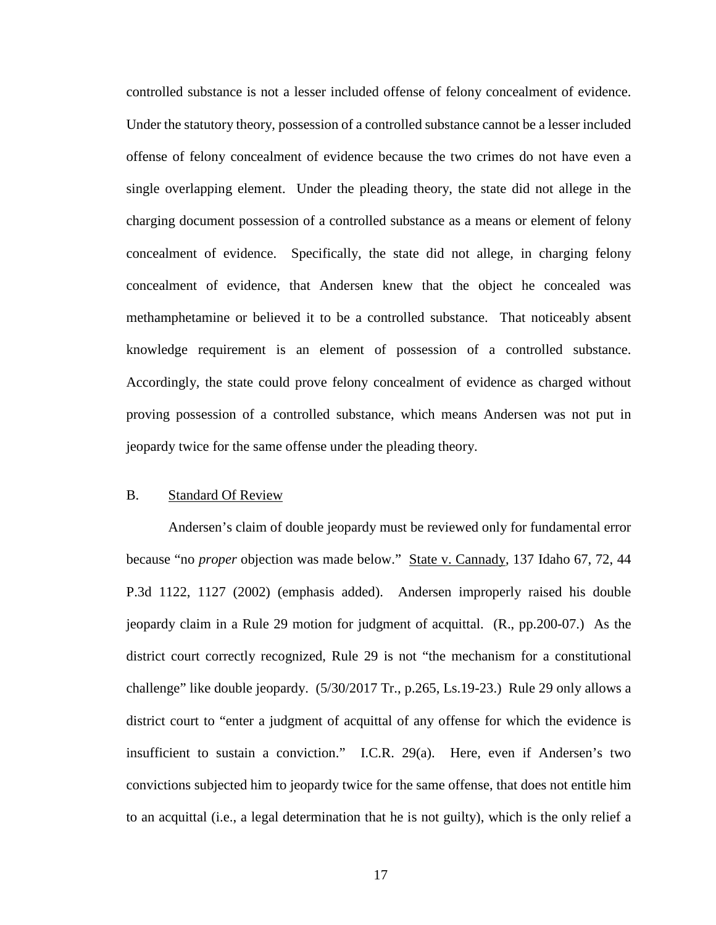controlled substance is not a lesser included offense of felony concealment of evidence. Under the statutory theory, possession of a controlled substance cannot be a lesser included offense of felony concealment of evidence because the two crimes do not have even a single overlapping element. Under the pleading theory, the state did not allege in the charging document possession of a controlled substance as a means or element of felony concealment of evidence. Specifically, the state did not allege, in charging felony concealment of evidence, that Andersen knew that the object he concealed was methamphetamine or believed it to be a controlled substance. That noticeably absent knowledge requirement is an element of possession of a controlled substance. Accordingly, the state could prove felony concealment of evidence as charged without proving possession of a controlled substance, which means Andersen was not put in jeopardy twice for the same offense under the pleading theory.

## B. Standard Of Review

Andersen's claim of double jeopardy must be reviewed only for fundamental error because "no *proper* objection was made below." State v. Cannady, 137 Idaho 67, 72, 44 P.3d 1122, 1127 (2002) (emphasis added). Andersen improperly raised his double jeopardy claim in a Rule 29 motion for judgment of acquittal. (R., pp.200-07.) As the district court correctly recognized, Rule 29 is not "the mechanism for a constitutional challenge" like double jeopardy. (5/30/2017 Tr., p.265, Ls.19-23.) Rule 29 only allows a district court to "enter a judgment of acquittal of any offense for which the evidence is insufficient to sustain a conviction." I.C.R. 29(a). Here, even if Andersen's two convictions subjected him to jeopardy twice for the same offense, that does not entitle him to an acquittal (i.e., a legal determination that he is not guilty), which is the only relief a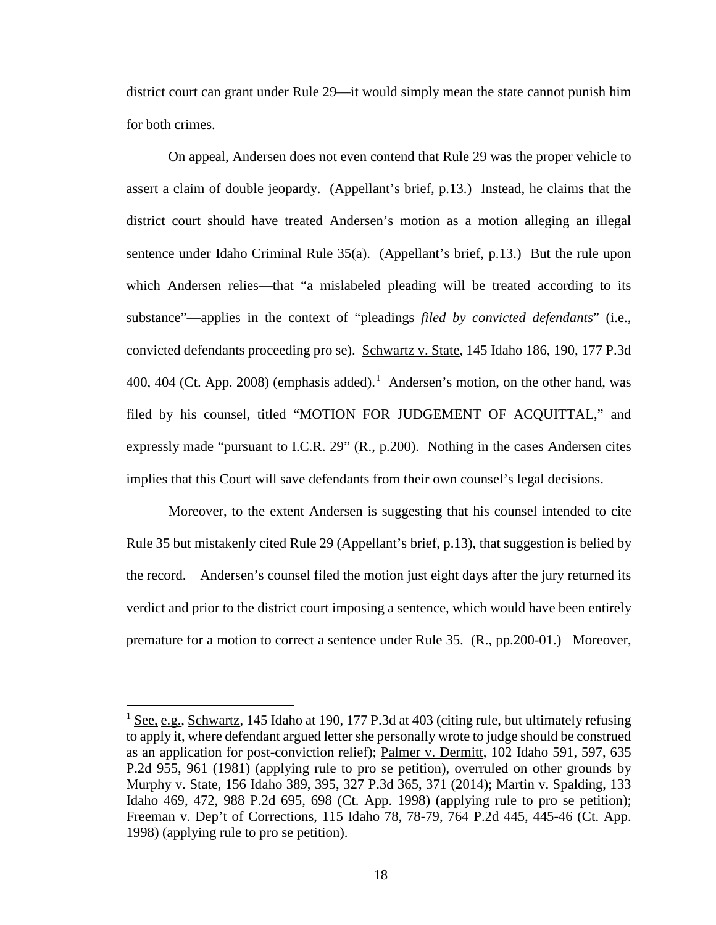district court can grant under Rule 29—it would simply mean the state cannot punish him for both crimes.

On appeal, Andersen does not even contend that Rule 29 was the proper vehicle to assert a claim of double jeopardy. (Appellant's brief, p.13.) Instead, he claims that the district court should have treated Andersen's motion as a motion alleging an illegal sentence under Idaho Criminal Rule 35(a). (Appellant's brief, p.13.) But the rule upon which Andersen relies—that "a mislabeled pleading will be treated according to its substance"—applies in the context of "pleadings *filed by convicted defendants*" (i.e., convicted defendants proceeding pro se). Schwartz v. State, 145 Idaho 186, 190, 177 P.3d 400, 404 (Ct. App. 2008) (emphasis added).<sup>[1](#page-24-0)</sup> Andersen's motion, on the other hand, was filed by his counsel, titled "MOTION FOR JUDGEMENT OF ACQUITTAL," and expressly made "pursuant to I.C.R. 29" (R., p.200). Nothing in the cases Andersen cites implies that this Court will save defendants from their own counsel's legal decisions.

Moreover, to the extent Andersen is suggesting that his counsel intended to cite Rule 35 but mistakenly cited Rule 29 (Appellant's brief, p.13), that suggestion is belied by the record. Andersen's counsel filed the motion just eight days after the jury returned its verdict and prior to the district court imposing a sentence, which would have been entirely premature for a motion to correct a sentence under Rule 35. (R., pp.200-01.) Moreover,

 $\overline{a}$ 

<span id="page-24-0"></span><sup>&</sup>lt;sup>1</sup> See, e.g., Schwartz, 145 Idaho at 190, 177 P.3d at 403 (citing rule, but ultimately refusing to apply it, where defendant argued letter she personally wrote to judge should be construed as an application for post-conviction relief); Palmer v. Dermitt, 102 Idaho 591, 597, 635 P.2d 955, 961 (1981) (applying rule to pro se petition), overruled on other grounds by Murphy v. State, 156 Idaho 389, 395, 327 P.3d 365, 371 (2014); Martin v. Spalding, 133 Idaho 469, 472, 988 P.2d 695, 698 (Ct. App. 1998) (applying rule to pro se petition); Freeman v. Dep't of Corrections, 115 Idaho 78, 78-79, 764 P.2d 445, 445-46 (Ct. App. 1998) (applying rule to pro se petition).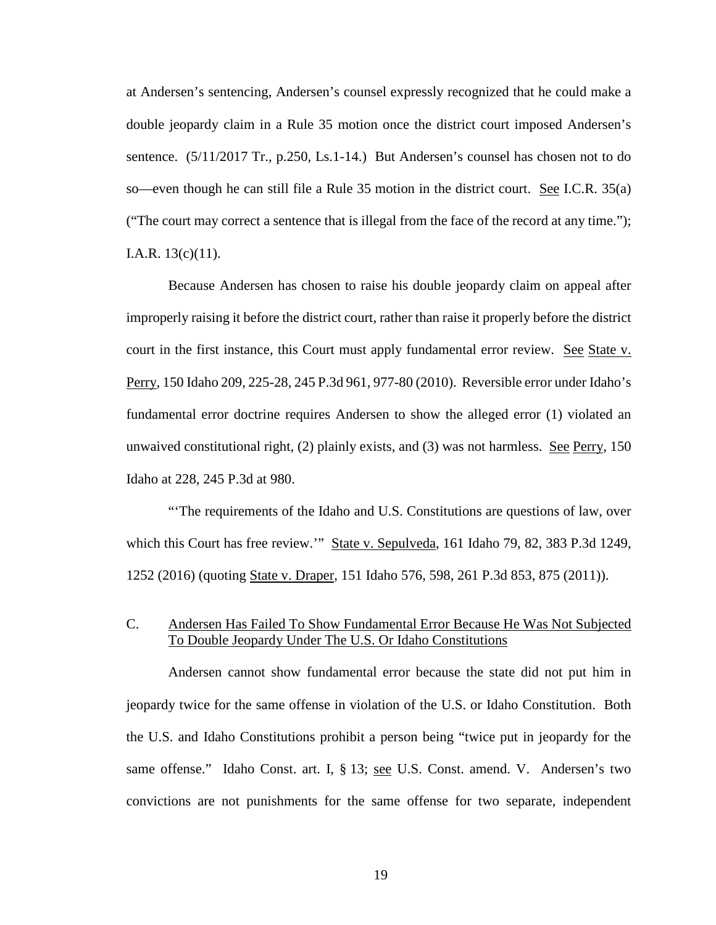at Andersen's sentencing, Andersen's counsel expressly recognized that he could make a double jeopardy claim in a Rule 35 motion once the district court imposed Andersen's sentence. (5/11/2017 Tr., p.250, Ls.1-14.) But Andersen's counsel has chosen not to do so—even though he can still file a Rule 35 motion in the district court. See I.C.R. 35(a) ("The court may correct a sentence that is illegal from the face of the record at any time."); I.A.R. 13(c)(11).

Because Andersen has chosen to raise his double jeopardy claim on appeal after improperly raising it before the district court, rather than raise it properly before the district court in the first instance, this Court must apply fundamental error review. See State v. Perry, 150 Idaho 209, 225-28, 245 P.3d 961, 977-80 (2010). Reversible error under Idaho's fundamental error doctrine requires Andersen to show the alleged error (1) violated an unwaived constitutional right, (2) plainly exists, and (3) was not harmless. See Perry, 150 Idaho at 228, 245 P.3d at 980.

"'The requirements of the Idaho and U.S. Constitutions are questions of law, over which this Court has free review." State v. Sepulveda, 161 Idaho 79, 82, 383 P.3d 1249, 1252 (2016) (quoting State v. Draper, 151 Idaho 576, 598, 261 P.3d 853, 875 (2011)).

# C. Andersen Has Failed To Show Fundamental Error Because He Was Not Subjected To Double Jeopardy Under The U.S. Or Idaho Constitutions

Andersen cannot show fundamental error because the state did not put him in jeopardy twice for the same offense in violation of the U.S. or Idaho Constitution. Both the U.S. and Idaho Constitutions prohibit a person being "twice put in jeopardy for the same offense." Idaho Const. art. I, § 13; see U.S. Const. amend. V. Andersen's two convictions are not punishments for the same offense for two separate, independent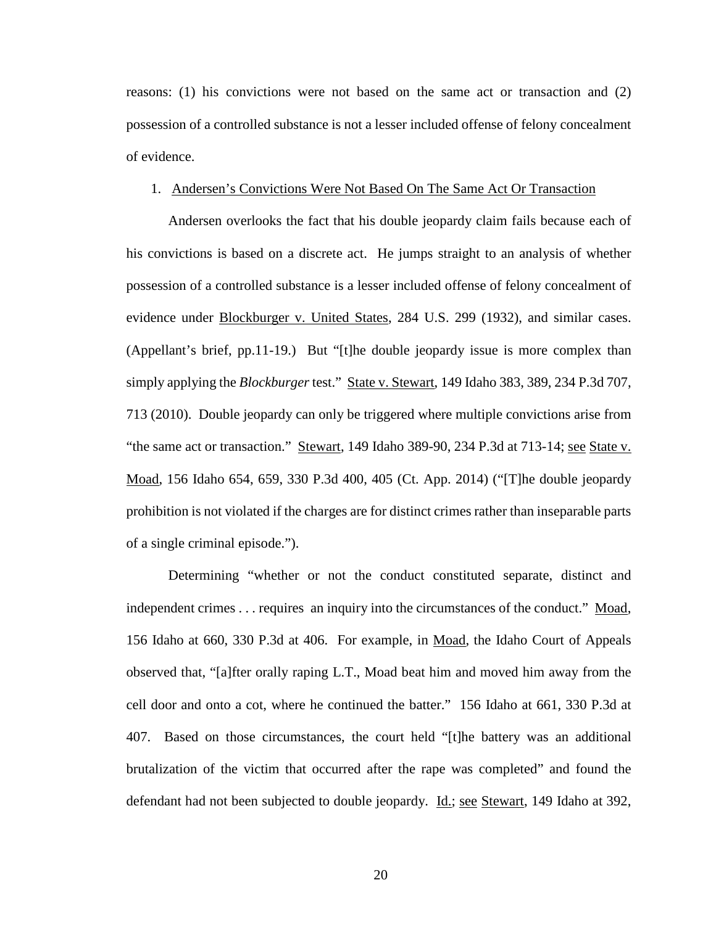reasons: (1) his convictions were not based on the same act or transaction and (2) possession of a controlled substance is not a lesser included offense of felony concealment of evidence.

#### 1. Andersen's Convictions Were Not Based On The Same Act Or Transaction

Andersen overlooks the fact that his double jeopardy claim fails because each of his convictions is based on a discrete act. He jumps straight to an analysis of whether possession of a controlled substance is a lesser included offense of felony concealment of evidence under Blockburger v. United States, 284 U.S. 299 (1932), and similar cases. (Appellant's brief, pp.11-19.) But "[t]he double jeopardy issue is more complex than simply applying the *Blockburger* test." State v. Stewart, 149 Idaho 383, 389, 234 P.3d 707, 713 (2010). Double jeopardy can only be triggered where multiple convictions arise from "the same act or transaction." Stewart, 149 Idaho 389-90, 234 P.3d at 713-14; see State v. Moad, 156 Idaho 654, 659, 330 P.3d 400, 405 (Ct. App. 2014) ("[T]he double jeopardy prohibition is not violated if the charges are for distinct crimes rather than inseparable parts of a single criminal episode.").

Determining "whether or not the conduct constituted separate, distinct and independent crimes . . . requires an inquiry into the circumstances of the conduct." Moad, 156 Idaho at 660, 330 P.3d at 406. For example, in Moad, the Idaho Court of Appeals observed that, "[a]fter orally raping L.T., Moad beat him and moved him away from the cell door and onto a cot, where he continued the batter." 156 Idaho at 661, 330 P.3d at 407. Based on those circumstances, the court held "[t]he battery was an additional brutalization of the victim that occurred after the rape was completed" and found the defendant had not been subjected to double jeopardy. <u>Id.; see Stewart</u>, 149 Idaho at 392,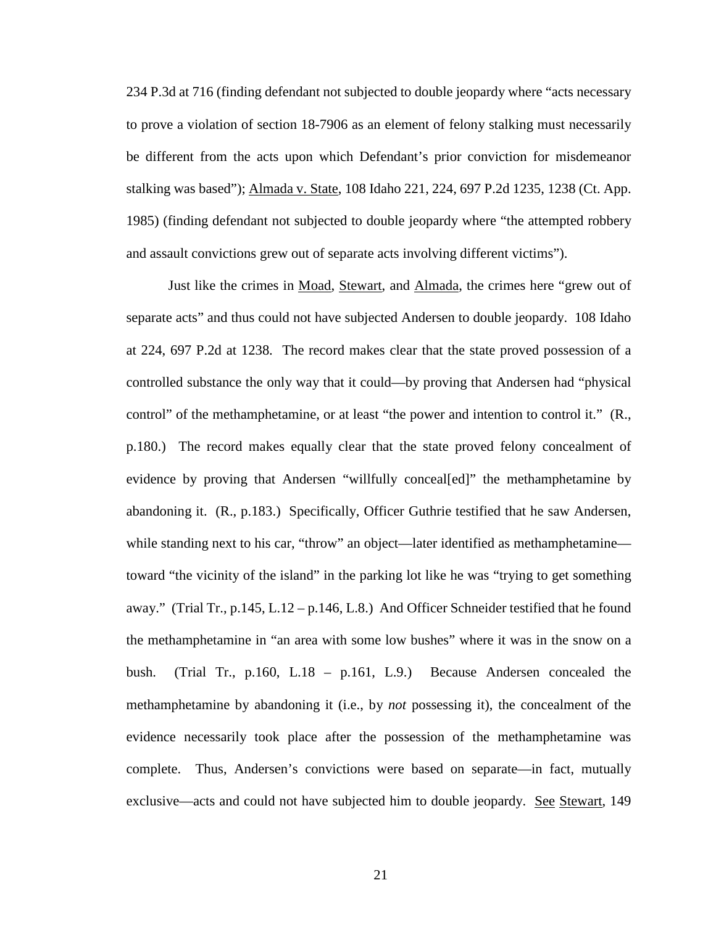234 P.3d at 716 (finding defendant not subjected to double jeopardy where "acts necessary to prove a violation of section 18-7906 as an element of felony stalking must necessarily be different from the acts upon which Defendant's prior conviction for misdemeanor stalking was based"); Almada v. State, 108 Idaho 221, 224, 697 P.2d 1235, 1238 (Ct. App. 1985) (finding defendant not subjected to double jeopardy where "the attempted robbery and assault convictions grew out of separate acts involving different victims").

Just like the crimes in Moad, Stewart, and Almada, the crimes here "grew out of separate acts" and thus could not have subjected Andersen to double jeopardy. 108 Idaho at 224, 697 P.2d at 1238. The record makes clear that the state proved possession of a controlled substance the only way that it could—by proving that Andersen had "physical control" of the methamphetamine, or at least "the power and intention to control it." (R., p.180.) The record makes equally clear that the state proved felony concealment of evidence by proving that Andersen "willfully conceal[ed]" the methamphetamine by abandoning it. (R., p.183.) Specifically, Officer Guthrie testified that he saw Andersen, while standing next to his car, "throw" an object—later identified as methamphetamine toward "the vicinity of the island" in the parking lot like he was "trying to get something away." (Trial Tr., p.145, L.12 – p.146, L.8.) And Officer Schneider testified that he found the methamphetamine in "an area with some low bushes" where it was in the snow on a bush. (Trial Tr., p.160, L.18 – p.161, L.9.) Because Andersen concealed the methamphetamine by abandoning it (i.e., by *not* possessing it), the concealment of the evidence necessarily took place after the possession of the methamphetamine was complete. Thus, Andersen's convictions were based on separate—in fact, mutually exclusive—acts and could not have subjected him to double jeopardy. See Stewart, 149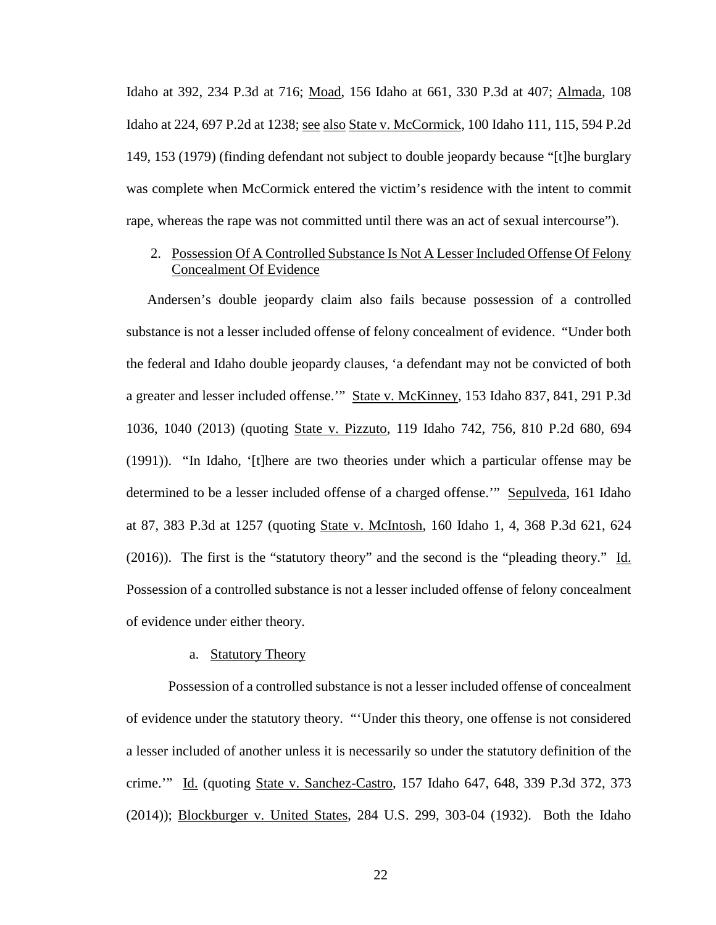Idaho at 392, 234 P.3d at 716; Moad, 156 Idaho at 661, 330 P.3d at 407; Almada, 108 Idaho at 224, 697 P.2d at 1238; see also State v. McCormick, 100 Idaho 111, 115, 594 P.2d 149, 153 (1979) (finding defendant not subject to double jeopardy because "[t]he burglary was complete when McCormick entered the victim's residence with the intent to commit rape, whereas the rape was not committed until there was an act of sexual intercourse").

# 2. Possession Of A Controlled Substance Is Not A Lesser Included Offense Of Felony Concealment Of Evidence

Andersen's double jeopardy claim also fails because possession of a controlled substance is not a lesser included offense of felony concealment of evidence. "Under both the federal and Idaho double jeopardy clauses, 'a defendant may not be convicted of both a greater and lesser included offense.'" State v. McKinney, 153 Idaho 837, 841, 291 P.3d 1036, 1040 (2013) (quoting State v. Pizzuto, 119 Idaho 742, 756, 810 P.2d 680, 694 (1991)). "In Idaho, '[t]here are two theories under which a particular offense may be determined to be a lesser included offense of a charged offense.'" Sepulveda, 161 Idaho at 87, 383 P.3d at 1257 (quoting State v. McIntosh, 160 Idaho 1, 4, 368 P.3d 621, 624 (2016)). The first is the "statutory theory" and the second is the "pleading theory." Id. Possession of a controlled substance is not a lesser included offense of felony concealment of evidence under either theory.

#### a. Statutory Theory

Possession of a controlled substance is not a lesser included offense of concealment of evidence under the statutory theory. "'Under this theory, one offense is not considered a lesser included of another unless it is necessarily so under the statutory definition of the crime.'" Id. (quoting State v. Sanchez-Castro, 157 Idaho 647, 648, 339 P.3d 372, 373 (2014)); Blockburger v. United States, 284 U.S. 299, 303-04 (1932). Both the Idaho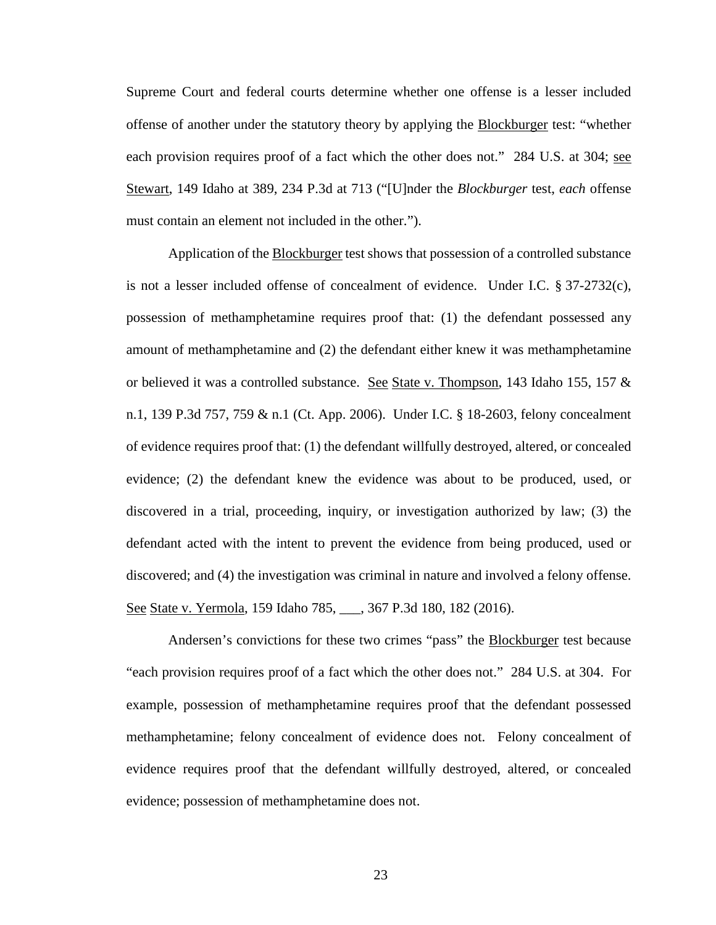Supreme Court and federal courts determine whether one offense is a lesser included offense of another under the statutory theory by applying the Blockburger test: "whether each provision requires proof of a fact which the other does not." 284 U.S. at 304; see Stewart, 149 Idaho at 389, 234 P.3d at 713 ("[U]nder the *Blockburger* test, *each* offense must contain an element not included in the other.").

Application of the Blockburger test shows that possession of a controlled substance is not a lesser included offense of concealment of evidence. Under I.C. § 37-2732(c), possession of methamphetamine requires proof that: (1) the defendant possessed any amount of methamphetamine and (2) the defendant either knew it was methamphetamine or believed it was a controlled substance. See State v. Thompson, 143 Idaho 155, 157 & n.1, 139 P.3d 757, 759 & n.1 (Ct. App. 2006). Under I.C. § 18-2603, felony concealment of evidence requires proof that: (1) the defendant willfully destroyed, altered, or concealed evidence; (2) the defendant knew the evidence was about to be produced, used, or discovered in a trial, proceeding, inquiry, or investigation authorized by law; (3) the defendant acted with the intent to prevent the evidence from being produced, used or discovered; and (4) the investigation was criminal in nature and involved a felony offense. See State v. Yermola, 159 Idaho 785, 367 P.3d 180, 182 (2016).

Andersen's convictions for these two crimes "pass" the Blockburger test because "each provision requires proof of a fact which the other does not." 284 U.S. at 304. For example, possession of methamphetamine requires proof that the defendant possessed methamphetamine; felony concealment of evidence does not. Felony concealment of evidence requires proof that the defendant willfully destroyed, altered, or concealed evidence; possession of methamphetamine does not.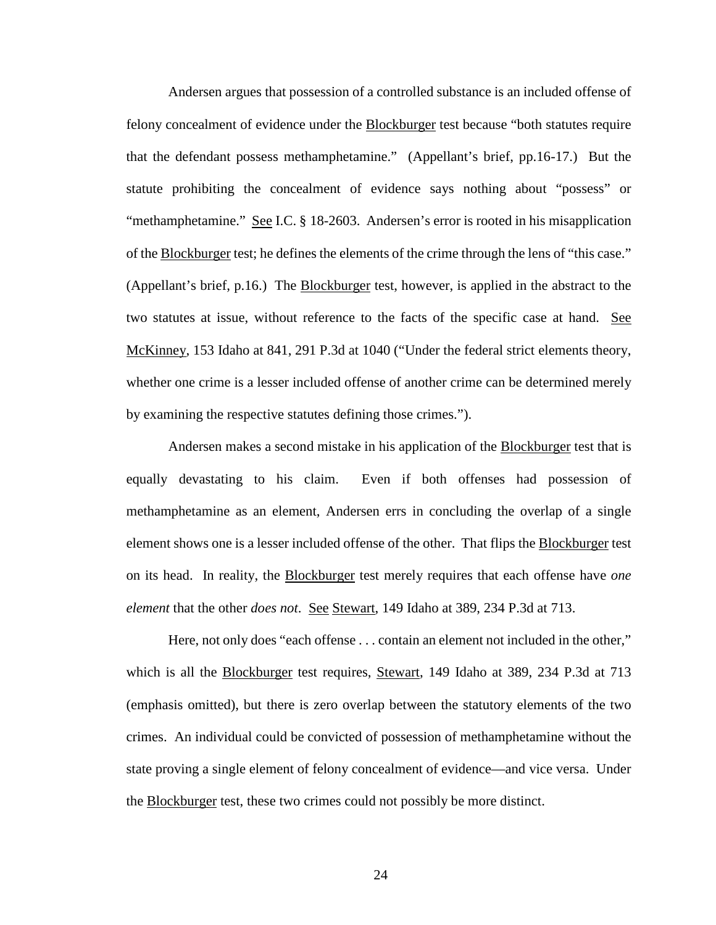Andersen argues that possession of a controlled substance is an included offense of felony concealment of evidence under the Blockburger test because "both statutes require that the defendant possess methamphetamine." (Appellant's brief, pp.16-17.) But the statute prohibiting the concealment of evidence says nothing about "possess" or "methamphetamine." See I.C. § 18-2603. Andersen's error is rooted in his misapplication of the Blockburger test; he defines the elements of the crime through the lens of "this case." (Appellant's brief, p.16.) The Blockburger test, however, is applied in the abstract to the two statutes at issue, without reference to the facts of the specific case at hand. See McKinney, 153 Idaho at 841, 291 P.3d at 1040 ("Under the federal strict elements theory, whether one crime is a lesser included offense of another crime can be determined merely by examining the respective statutes defining those crimes.").

Andersen makes a second mistake in his application of the Blockburger test that is equally devastating to his claim. Even if both offenses had possession of methamphetamine as an element, Andersen errs in concluding the overlap of a single element shows one is a lesser included offense of the other. That flips the Blockburger test on its head. In reality, the Blockburger test merely requires that each offense have *one element* that the other *does not*. See Stewart, 149 Idaho at 389, 234 P.3d at 713.

Here, not only does "each offense . . . contain an element not included in the other," which is all the Blockburger test requires, Stewart, 149 Idaho at 389, 234 P.3d at 713 (emphasis omitted), but there is zero overlap between the statutory elements of the two crimes. An individual could be convicted of possession of methamphetamine without the state proving a single element of felony concealment of evidence—and vice versa. Under the **Blockburger** test, these two crimes could not possibly be more distinct.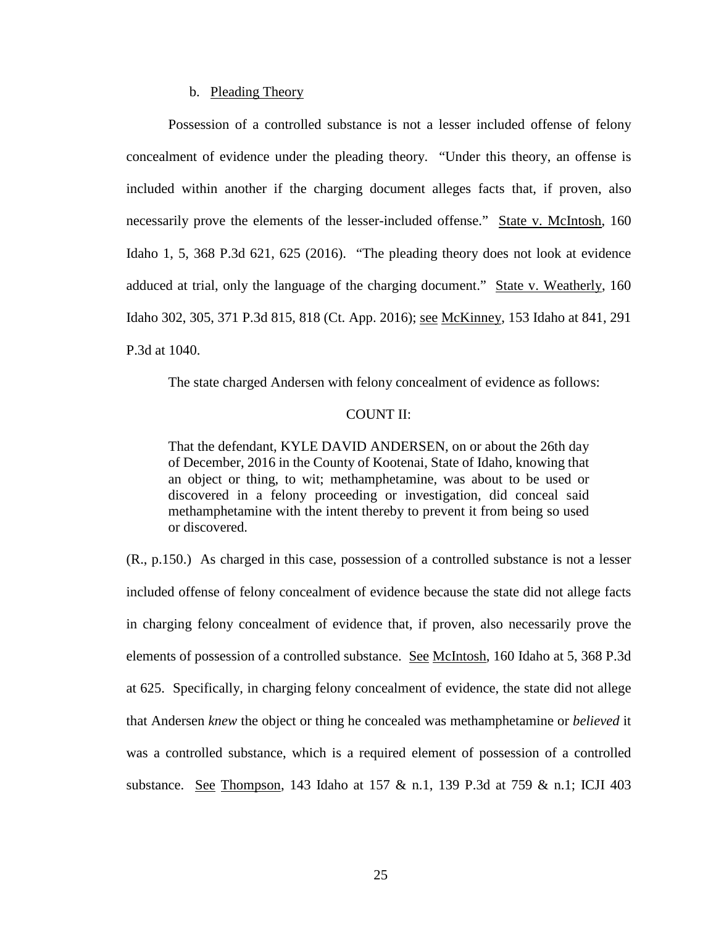#### b. Pleading Theory

Possession of a controlled substance is not a lesser included offense of felony concealment of evidence under the pleading theory. "Under this theory, an offense is included within another if the charging document alleges facts that, if proven, also necessarily prove the elements of the lesser-included offense." State v. McIntosh, 160 Idaho 1, 5, 368 P.3d 621, 625 (2016). "The pleading theory does not look at evidence adduced at trial, only the language of the charging document." State v. Weatherly, 160 Idaho 302, 305, 371 P.3d 815, 818 (Ct. App. 2016); see McKinney, 153 Idaho at 841, 291 P.3d at 1040.

The state charged Andersen with felony concealment of evidence as follows:

#### COUNT II:

That the defendant, KYLE DAVID ANDERSEN, on or about the 26th day of December, 2016 in the County of Kootenai, State of Idaho, knowing that an object or thing, to wit; methamphetamine, was about to be used or discovered in a felony proceeding or investigation, did conceal said methamphetamine with the intent thereby to prevent it from being so used or discovered.

(R., p.150.) As charged in this case, possession of a controlled substance is not a lesser included offense of felony concealment of evidence because the state did not allege facts in charging felony concealment of evidence that, if proven, also necessarily prove the elements of possession of a controlled substance. See McIntosh, 160 Idaho at 5, 368 P.3d at 625. Specifically, in charging felony concealment of evidence, the state did not allege that Andersen *knew* the object or thing he concealed was methamphetamine or *believed* it was a controlled substance, which is a required element of possession of a controlled substance. See Thompson, 143 Idaho at 157 & n.1, 139 P.3d at 759 & n.1; ICJI 403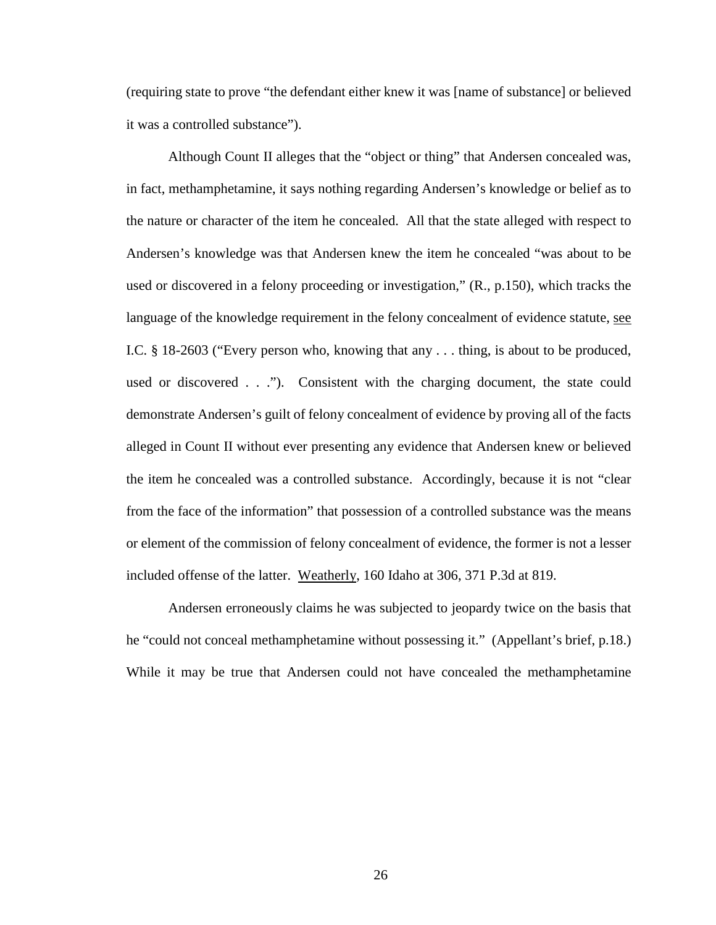(requiring state to prove "the defendant either knew it was [name of substance] or believed it was a controlled substance").

Although Count II alleges that the "object or thing" that Andersen concealed was, in fact, methamphetamine, it says nothing regarding Andersen's knowledge or belief as to the nature or character of the item he concealed. All that the state alleged with respect to Andersen's knowledge was that Andersen knew the item he concealed "was about to be used or discovered in a felony proceeding or investigation," (R., p.150), which tracks the language of the knowledge requirement in the felony concealment of evidence statute, see I.C. § 18-2603 ("Every person who, knowing that any . . . thing, is about to be produced, used or discovered . . ."). Consistent with the charging document, the state could demonstrate Andersen's guilt of felony concealment of evidence by proving all of the facts alleged in Count II without ever presenting any evidence that Andersen knew or believed the item he concealed was a controlled substance. Accordingly, because it is not "clear from the face of the information" that possession of a controlled substance was the means or element of the commission of felony concealment of evidence, the former is not a lesser included offense of the latter. Weatherly, 160 Idaho at 306, 371 P.3d at 819.

Andersen erroneously claims he was subjected to jeopardy twice on the basis that he "could not conceal methamphetamine without possessing it." (Appellant's brief, p.18.) While it may be true that Andersen could not have concealed the methamphetamine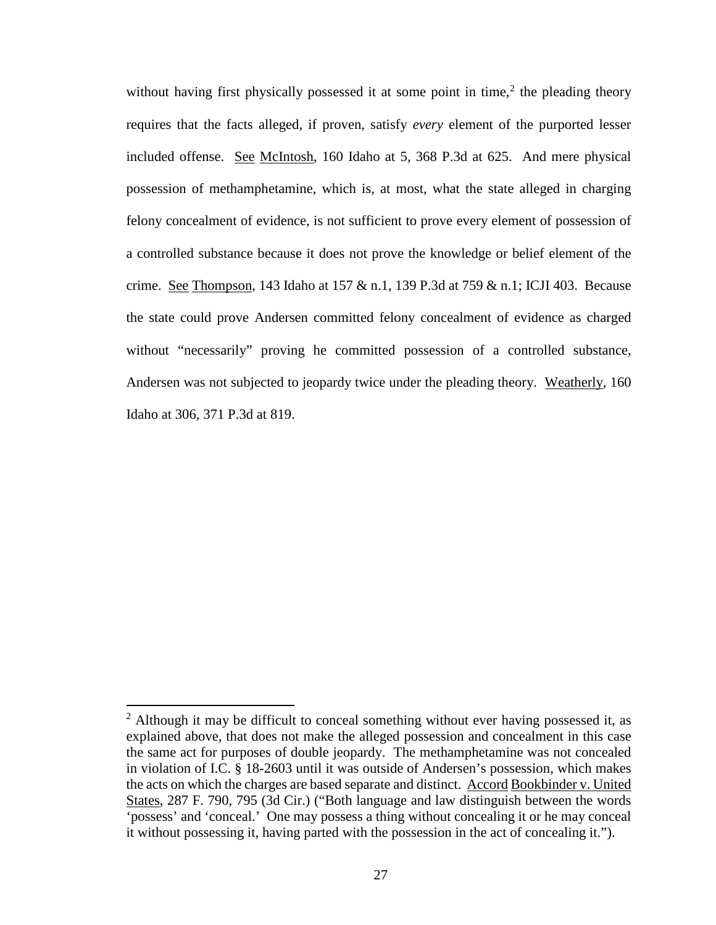without having first physically possessed it at some point in time,<sup>[2](#page-33-0)</sup> the pleading theory requires that the facts alleged, if proven, satisfy *every* element of the purported lesser included offense. See McIntosh, 160 Idaho at 5, 368 P.3d at 625. And mere physical possession of methamphetamine, which is, at most, what the state alleged in charging felony concealment of evidence, is not sufficient to prove every element of possession of a controlled substance because it does not prove the knowledge or belief element of the crime. See Thompson, 143 Idaho at 157 & n.1, 139 P.3d at 759 & n.1; ICJI 403. Because the state could prove Andersen committed felony concealment of evidence as charged without "necessarily" proving he committed possession of a controlled substance, Andersen was not subjected to jeopardy twice under the pleading theory. Weatherly, 160 Idaho at 306, 371 P.3d at 819.

 $\overline{a}$ 

<span id="page-33-0"></span> $2$  Although it may be difficult to conceal something without ever having possessed it, as explained above, that does not make the alleged possession and concealment in this case the same act for purposes of double jeopardy. The methamphetamine was not concealed in violation of I.C. § 18-2603 until it was outside of Andersen's possession, which makes the acts on which the charges are based separate and distinct. Accord Bookbinder v. United States, 287 F. 790, 795 (3d Cir.) ("Both language and law distinguish between the words 'possess' and 'conceal.' One may possess a thing without concealing it or he may conceal it without possessing it, having parted with the possession in the act of concealing it.").